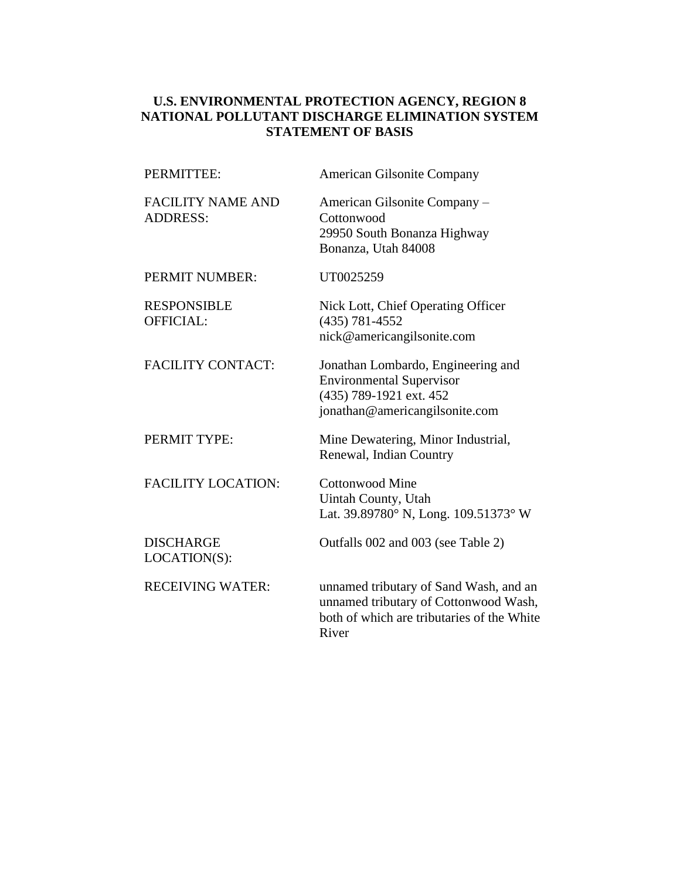### **U.S. ENVIRONMENTAL PROTECTION AGENCY, REGION 8 NATIONAL POLLUTANT DISCHARGE ELIMINATION SYSTEM STATEMENT OF BASIS**

| PERMITTEE:                                  | <b>American Gilsonite Company</b>                                                                                                      |
|---------------------------------------------|----------------------------------------------------------------------------------------------------------------------------------------|
| <b>FACILITY NAME AND</b><br><b>ADDRESS:</b> | American Gilsonite Company -<br>Cottonwood<br>29950 South Bonanza Highway<br>Bonanza, Utah 84008                                       |
| PERMIT NUMBER:                              | UT0025259                                                                                                                              |
| <b>RESPONSIBLE</b><br>OFFICIAL:             | Nick Lott, Chief Operating Officer<br>$(435) 781 - 4552$<br>nick@americangilsonite.com                                                 |
| <b>FACILITY CONTACT:</b>                    | Jonathan Lombardo, Engineering and<br><b>Environmental Supervisor</b><br>(435) 789-1921 ext. 452<br>jonathan@americangilsonite.com     |
| PERMIT TYPE:                                | Mine Dewatering, Minor Industrial,<br>Renewal, Indian Country                                                                          |
| <b>FACILITY LOCATION:</b>                   | <b>Cottonwood Mine</b><br>Uintah County, Utah<br>Lat. 39.89780° N, Long. 109.51373° W                                                  |
| <b>DISCHARGE</b><br>LOCATION(S):            | Outfalls 002 and 003 (see Table 2)                                                                                                     |
| <b>RECEIVING WATER:</b>                     | unnamed tributary of Sand Wash, and an<br>unnamed tributary of Cottonwood Wash,<br>both of which are tributaries of the White<br>River |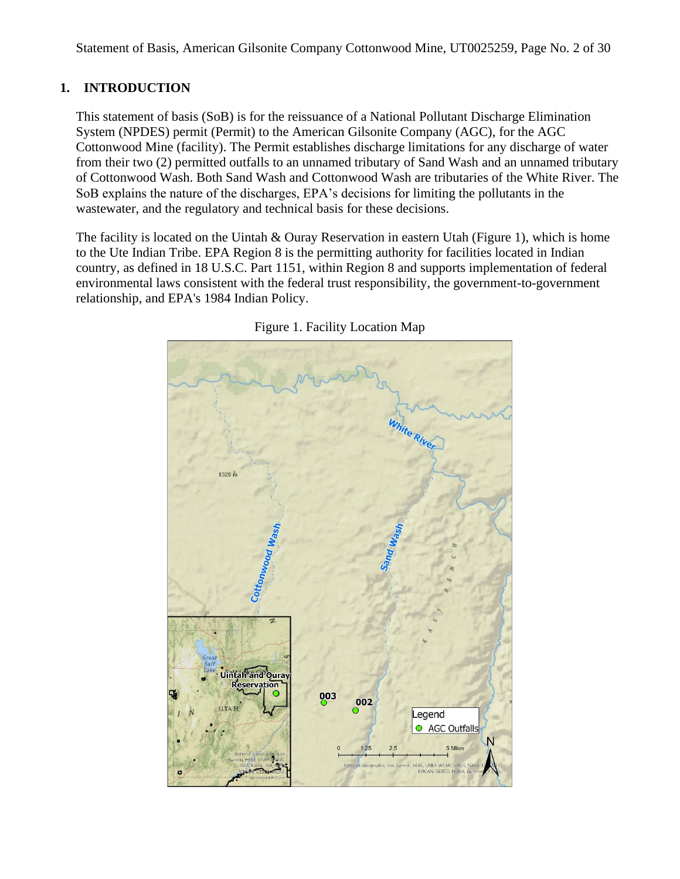## **1. INTRODUCTION**

This statement of basis (SoB) is for the reissuance of a National Pollutant Discharge Elimination System (NPDES) permit (Permit) to the American Gilsonite Company (AGC), for the AGC Cottonwood Mine (facility). The Permit establishes discharge limitations for any discharge of water from their two (2) permitted outfalls to an unnamed tributary of Sand Wash and an unnamed tributary of Cottonwood Wash. Both Sand Wash and Cottonwood Wash are tributaries of the White River. The SoB explains the nature of the discharges, EPA's decisions for limiting the pollutants in the wastewater, and the regulatory and technical basis for these decisions.

The facility is located on the Uintah & Ouray Reservation in eastern Utah (Figure 1), which is home to the Ute Indian Tribe. EPA Region 8 is the permitting authority for facilities located in Indian country, as defined in 18 U.S.C. Part 1151, within Region 8 and supports implementation of federal environmental laws consistent with the federal trust responsibility, the government-to-government relationship, and EPA's 1984 Indian Policy.



Figure 1. Facility Location Map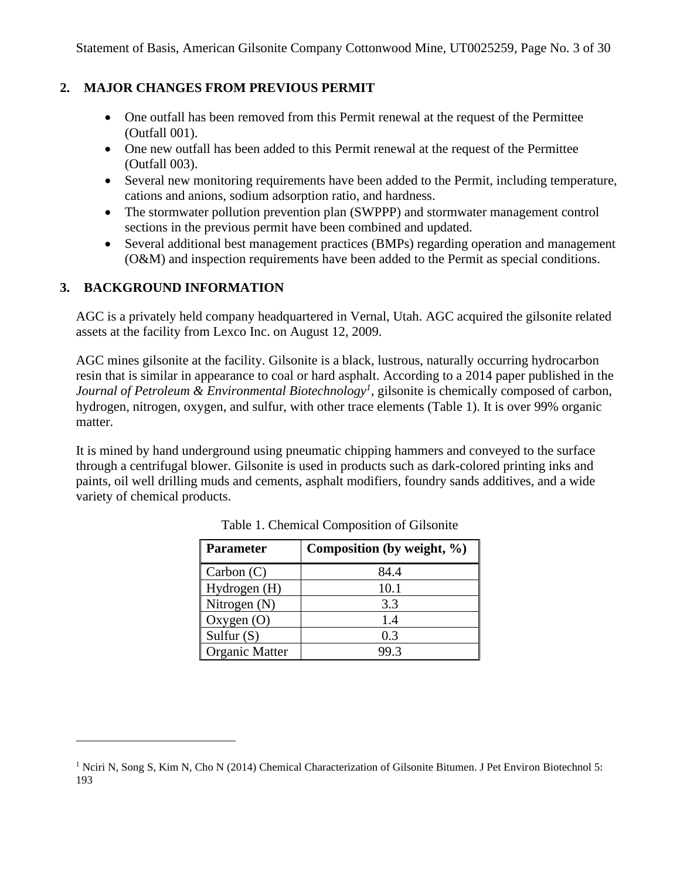## <span id="page-2-0"></span>**2. MAJOR CHANGES FROM PREVIOUS PERMIT**

- One outfall has been removed from this Permit renewal at the request of the Permittee (Outfall 001).
- One new outfall has been added to this Permit renewal at the request of the Permittee (Outfall 003).
- Several new monitoring requirements have been added to the Permit, including temperature, cations and anions, sodium adsorption ratio, and hardness.
- The stormwater pollution prevention plan (SWPPP) and stormwater management control sections in the previous permit have been combined and updated.
- Several additional best management practices (BMPs) regarding operation and management (O&M) and inspection requirements have been added to the Permit as special conditions.

## **3. BACKGROUND INFORMATION**

AGC is a privately held company headquartered in Vernal, Utah. AGC acquired the gilsonite related assets at the facility from Lexco Inc. on August 12, 2009.

AGC mines gilsonite at the facility. Gilsonite is a black, lustrous, naturally occurring hydrocarbon resin that is similar in appearance to coal or hard asphalt. According to a 2014 paper published in the *Journal of Petroleum & Environmental Biotechnology<sup>1</sup>* , gilsonite is chemically composed of carbon, hydrogen, nitrogen, oxygen, and sulfur, with other trace elements (Table 1). It is over 99% organic matter.

It is mined by hand underground using pneumatic chipping hammers and conveyed to the surface through a centrifugal blower. Gilsonite is used in products such as dark-colored printing inks and paints, oil well drilling muds and cements, asphalt modifiers, foundry sands additives, and a wide variety of chemical products.

| <b>Parameter</b>      | Composition (by weight, %) |
|-----------------------|----------------------------|
| Carbon $(C)$          | 84.4                       |
| Hydrogen (H)          | 10.1                       |
| Nitrogen $(N)$        | 3.3                        |
| Oxygen $(O)$          | 1.4                        |
| Sulfur $(S)$          | 0.3                        |
| <b>Organic Matter</b> |                            |

Table 1. Chemical Composition of Gilsonite

<sup>&</sup>lt;sup>1</sup> Nciri N, Song S, Kim N, Cho N (2014) Chemical Characterization of Gilsonite Bitumen. J Pet Environ Biotechnol 5: 193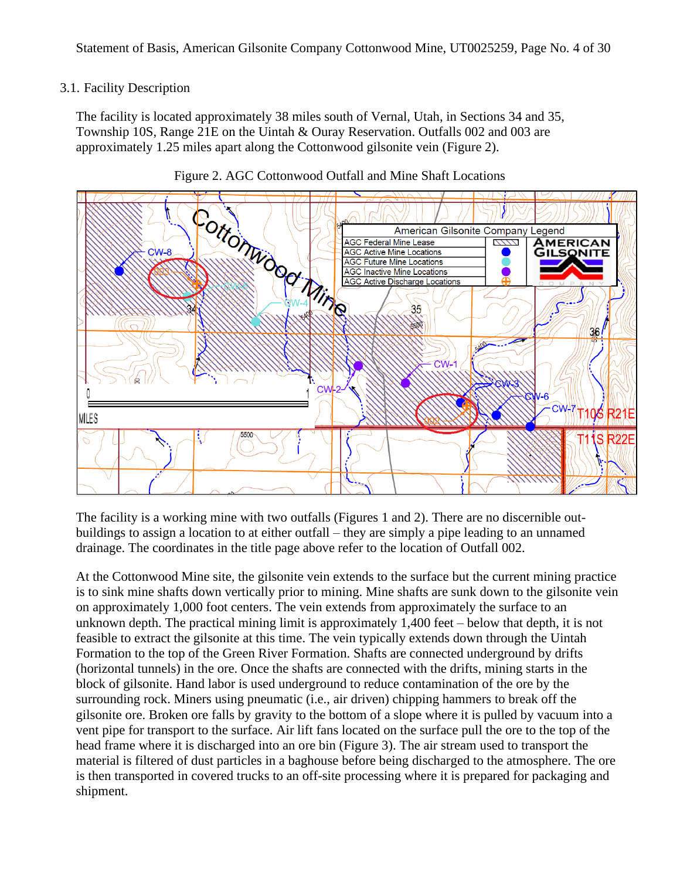### 3.1. Facility Description

The facility is located approximately 38 miles south of Vernal, Utah, in Sections 34 and 35, Township 10S, Range 21E on the Uintah & Ouray Reservation. Outfalls 002 and 003 are approximately 1.25 miles apart along the Cottonwood gilsonite vein (Figure 2).





The facility is a working mine with two outfalls (Figures 1 and 2). There are no discernible outbuildings to assign a location to at either outfall – they are simply a pipe leading to an unnamed drainage. The coordinates in the title page above refer to the location of Outfall 002.

At the Cottonwood Mine site, the gilsonite vein extends to the surface but the current mining practice is to sink mine shafts down vertically prior to mining. Mine shafts are sunk down to the gilsonite vein on approximately 1,000 foot centers. The vein extends from approximately the surface to an unknown depth. The practical mining limit is approximately 1,400 feet – below that depth, it is not feasible to extract the gilsonite at this time. The vein typically extends down through the Uintah Formation to the top of the Green River Formation. Shafts are connected underground by drifts (horizontal tunnels) in the ore. Once the shafts are connected with the drifts, mining starts in the block of gilsonite. Hand labor is used underground to reduce contamination of the ore by the surrounding rock. Miners using pneumatic (i.e., air driven) chipping hammers to break off the gilsonite ore. Broken ore falls by gravity to the bottom of a slope where it is pulled by vacuum into a vent pipe for transport to the surface. Air lift fans located on the surface pull the ore to the top of the head frame where it is discharged into an ore bin (Figure 3). The air stream used to transport the material is filtered of dust particles in a baghouse before being discharged to the atmosphere. The ore is then transported in covered trucks to an off-site processing where it is prepared for packaging and shipment.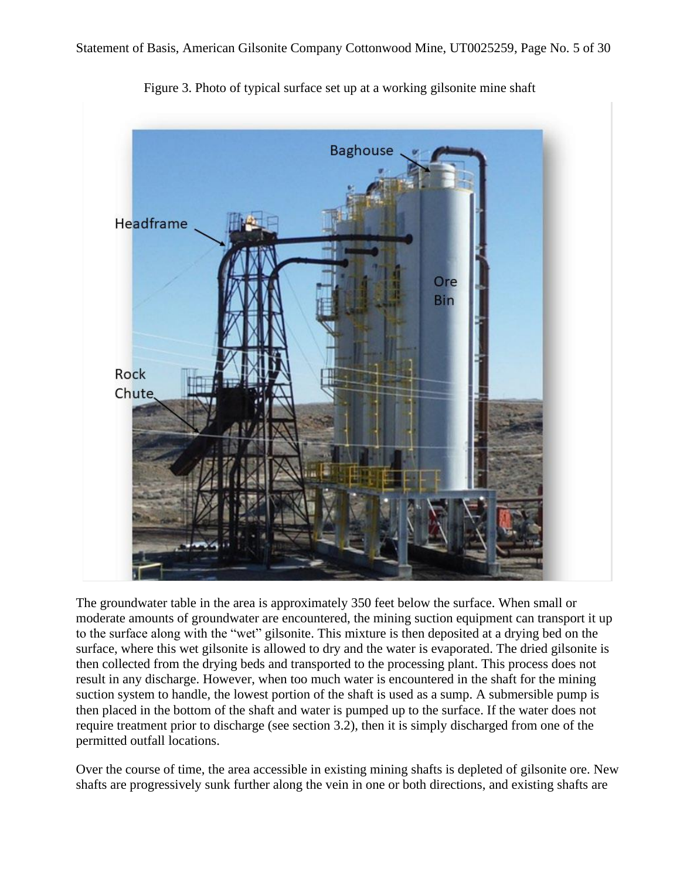

Figure 3. Photo of typical surface set up at a working gilsonite mine shaft

The groundwater table in the area is approximately 350 feet below the surface. When small or moderate amounts of groundwater are encountered, the mining suction equipment can transport it up to the surface along with the "wet" gilsonite. This mixture is then deposited at a drying bed on the surface, where this wet gilsonite is allowed to dry and the water is evaporated. The dried gilsonite is then collected from the drying beds and transported to the processing plant. This process does not result in any discharge. However, when too much water is encountered in the shaft for the mining suction system to handle, the lowest portion of the shaft is used as a sump. A submersible pump is then placed in the bottom of the shaft and water is pumped up to the surface. If the water does not require treatment prior to discharge (see section [3.2\)](#page-5-0), then it is simply discharged from one of the permitted outfall locations.

Over the course of time, the area accessible in existing mining shafts is depleted of gilsonite ore. New shafts are progressively sunk further along the vein in one or both directions, and existing shafts are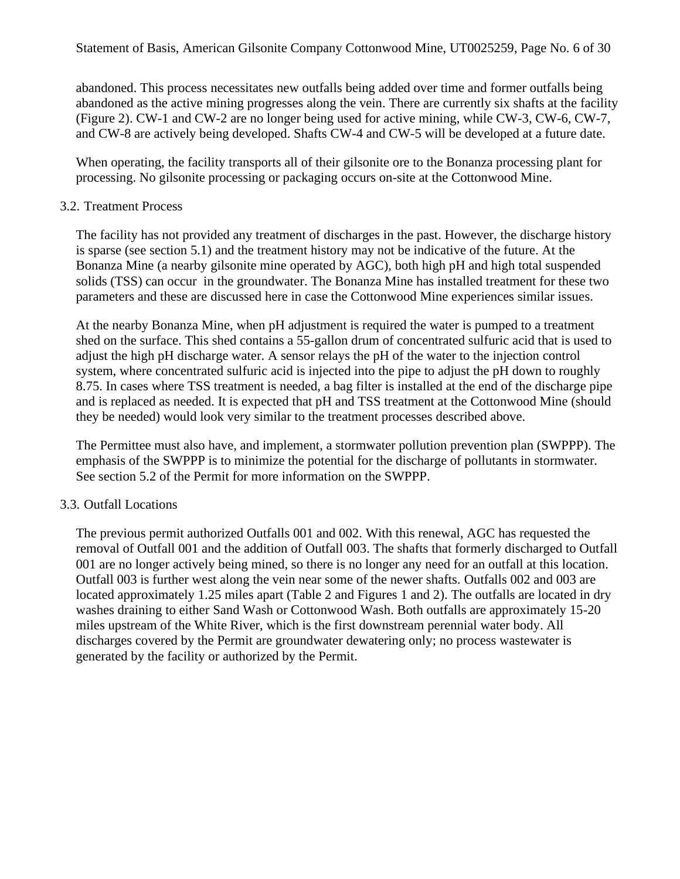abandoned. This process necessitates new outfalls being added over time and former outfalls being abandoned as the active mining progresses along the vein. There are currently six shafts at the facility (Figure 2). CW-1 and CW-2 are no longer being used for active mining, while CW-3, CW-6, CW-7, and CW-8 are actively being developed. Shafts CW-4 and CW-5 will be developed at a future date.

When operating, the facility transports all of their gilsonite ore to the Bonanza processing plant for processing. No gilsonite processing or packaging occurs on-site at the Cottonwood Mine.

#### <span id="page-5-0"></span>3.2. Treatment Process

The facility has not provided any treatment of discharges in the past. However, the discharge history is sparse (see section [5.1\)](#page-7-0) and the treatment history may not be indicative of the future. At the Bonanza Mine (a nearby gilsonite mine operated by AGC), both high pH and high total suspended solids (TSS) can occur in the groundwater. The Bonanza Mine has installed treatment for these two parameters and these are discussed here in case the Cottonwood Mine experiences similar issues.

At the nearby Bonanza Mine, when pH adjustment is required the water is pumped to a treatment shed on the surface. This shed contains a 55-gallon drum of concentrated sulfuric acid that is used to adjust the high pH discharge water. A sensor relays the pH of the water to the injection control system, where concentrated sulfuric acid is injected into the pipe to adjust the pH down to roughly 8.75. In cases where TSS treatment is needed, a bag filter is installed at the end of the discharge pipe and is replaced as needed. It is expected that pH and TSS treatment at the Cottonwood Mine (should they be needed) would look very similar to the treatment processes described above.

The Permittee must also have, and implement, a stormwater pollution prevention plan (SWPPP). The emphasis of the SWPPP is to minimize the potential for the discharge of pollutants in stormwater. See section 5.2 of the Permit for more information on the SWPPP.

#### 3.3. Outfall Locations

The previous permit authorized Outfalls 001 and 002. With this renewal, AGC has requested the removal of Outfall 001 and the addition of Outfall 003. The shafts that formerly discharged to Outfall 001 are no longer actively being mined, so there is no longer any need for an outfall at this location. Outfall 003 is further west along the vein near some of the newer shafts. Outfalls 002 and 003 are located approximately 1.25 miles apart (Table 2 and Figures 1 and 2). The outfalls are located in dry washes draining to either Sand Wash or Cottonwood Wash. Both outfalls are approximately 15-20 miles upstream of the White River, which is the first downstream perennial water body. All discharges covered by the Permit are groundwater dewatering only; no process wastewater is generated by the facility or authorized by the Permit.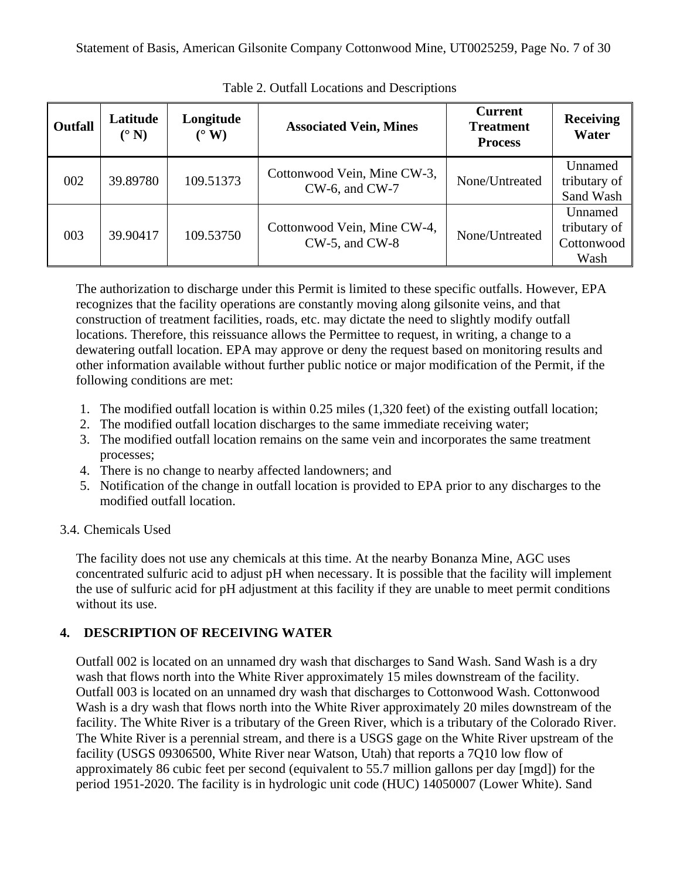| <b>Outfall</b> | Latitude<br>$(^\circ N)$ | Longitude<br>$(^\circ \text{W})$ | <b>Associated Vein, Mines</b>                      | <b>Current</b><br><b>Treatment</b><br><b>Process</b> | <b>Receiving</b><br>Water                     |
|----------------|--------------------------|----------------------------------|----------------------------------------------------|------------------------------------------------------|-----------------------------------------------|
| 002            | 39.89780                 | 109.51373                        | Cottonwood Vein, Mine CW-3,<br>$CW-6$ , and $CW-7$ | None/Untreated                                       | Unnamed<br>tributary of<br>Sand Wash          |
| 003            | 39.90417                 | 109.53750                        | Cottonwood Vein, Mine CW-4,<br>$CW-5$ , and $CW-8$ | None/Untreated                                       | Unnamed<br>tributary of<br>Cottonwood<br>Wash |

Table 2. Outfall Locations and Descriptions

The authorization to discharge under this Permit is limited to these specific outfalls. However, EPA recognizes that the facility operations are constantly moving along gilsonite veins, and that construction of treatment facilities, roads, etc. may dictate the need to slightly modify outfall locations. Therefore, this reissuance allows the Permittee to request, in writing, a change to a dewatering outfall location. EPA may approve or deny the request based on monitoring results and other information available without further public notice or major modification of the Permit, if the following conditions are met:

- 1. The modified outfall location is within 0.25 miles (1,320 feet) of the existing outfall location;
- 2. The modified outfall location discharges to the same immediate receiving water;
- 3. The modified outfall location remains on the same vein and incorporates the same treatment processes;
- 4. There is no change to nearby affected landowners; and
- 5. Notification of the change in outfall location is provided to EPA prior to any discharges to the modified outfall location.

## 3.4. Chemicals Used

The facility does not use any chemicals at this time. At the nearby Bonanza Mine, AGC uses concentrated sulfuric acid to adjust pH when necessary. It is possible that the facility will implement the use of sulfuric acid for pH adjustment at this facility if they are unable to meet permit conditions without its use.

## <span id="page-6-0"></span>**4. DESCRIPTION OF RECEIVING WATER**

Outfall 002 is located on an unnamed dry wash that discharges to Sand Wash. Sand Wash is a dry wash that flows north into the White River approximately 15 miles downstream of the facility. Outfall 003 is located on an unnamed dry wash that discharges to Cottonwood Wash. Cottonwood Wash is a dry wash that flows north into the White River approximately 20 miles downstream of the facility. The White River is a tributary of the Green River, which is a tributary of the Colorado River. The White River is a perennial stream, and there is a USGS gage on the White River upstream of the facility (USGS 09306500, White River near Watson, Utah) that reports a 7Q10 low flow of approximately 86 cubic feet per second (equivalent to 55.7 million gallons per day [mgd]) for the period 1951-2020. The facility is in hydrologic unit code (HUC) 14050007 (Lower White). Sand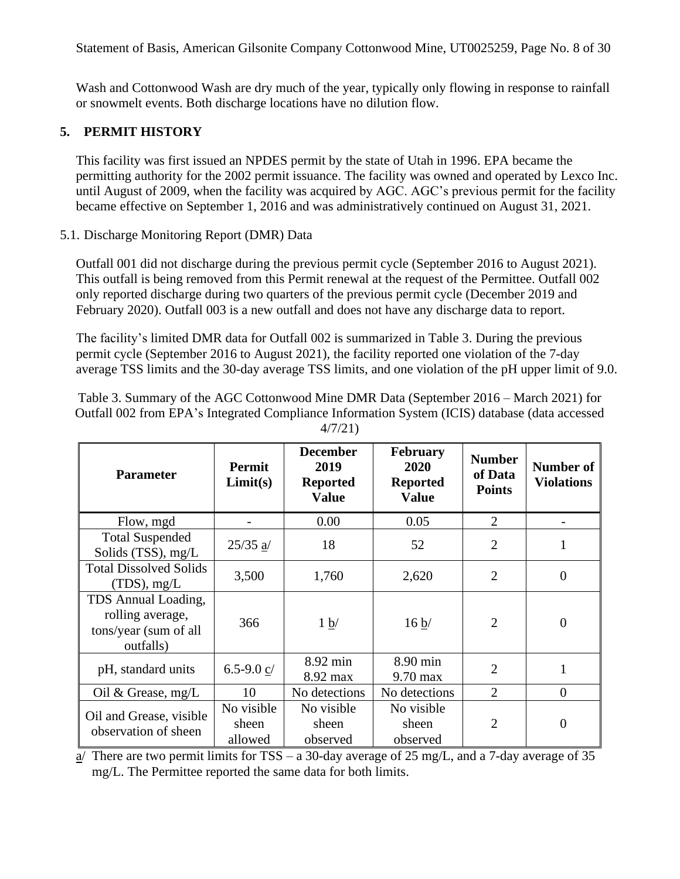Wash and Cottonwood Wash are dry much of the year, typically only flowing in response to rainfall or snowmelt events. Both discharge locations have no dilution flow.

## **5. PERMIT HISTORY**

This facility was first issued an NPDES permit by the state of Utah in 1996. EPA became the permitting authority for the 2002 permit issuance. The facility was owned and operated by Lexco Inc. until August of 2009, when the facility was acquired by AGC. AGC's previous permit for the facility became effective on September 1, 2016 and was administratively continued on August 31, 2021.

### <span id="page-7-0"></span>5.1. Discharge Monitoring Report (DMR) Data

Outfall 001 did not discharge during the previous permit cycle (September 2016 to August 2021). This outfall is being removed from this Permit renewal at the request of the Permittee. Outfall 002 only reported discharge during two quarters of the previous permit cycle (December 2019 and February 2020). Outfall 003 is a new outfall and does not have any discharge data to report.

The facility's limited DMR data for Outfall 002 is summarized in Table 3. During the previous permit cycle (September 2016 to August 2021), the facility reported one violation of the 7-day average TSS limits and the 30-day average TSS limits, and one violation of the pH upper limit of 9.0.

Table 3. Summary of the AGC Cottonwood Mine DMR Data (September 2016 – March 2021) for Outfall 002 from EPA's Integrated Compliance Information System (ICIS) database (data accessed 4/7/21)

| <b>Parameter</b>                                                              | <b>Permit</b><br>Limit(s)      | <b>December</b><br>2019<br><b>Reported</b><br><b>Value</b> | <b>February</b><br>2020<br><b>Reported</b><br><b>Value</b> | <b>Number</b><br>of Data<br><b>Points</b> | <b>Number of</b><br><b>Violations</b> |
|-------------------------------------------------------------------------------|--------------------------------|------------------------------------------------------------|------------------------------------------------------------|-------------------------------------------|---------------------------------------|
| Flow, mgd                                                                     |                                | 0.00                                                       | 0.05                                                       | $\overline{2}$                            |                                       |
| <b>Total Suspended</b><br>Solids (TSS), mg/L                                  | $25/35$ $a/$                   | 18                                                         | 52                                                         | $\overline{2}$                            | 1                                     |
| <b>Total Dissolved Solids</b><br>$(TDS)$ , mg/L                               | 3,500                          | 1,760                                                      | 2,620                                                      | $\overline{2}$                            | $\overline{0}$                        |
| TDS Annual Loading,<br>rolling average,<br>tons/year (sum of all<br>outfalls) | 366                            | 1 b/                                                       | 16 b/                                                      | $\overline{2}$                            | $\Omega$                              |
| pH, standard units                                                            | 6.5-9.0 $c/$                   | 8.92 min<br>8.92 max                                       | 8.90 min<br>$9.70 \text{ max}$                             | $\overline{2}$                            | 1                                     |
| Oil & Grease, $mg/L$                                                          | 10                             | No detections                                              | No detections                                              | $\overline{2}$                            | $\overline{0}$                        |
| Oil and Grease, visible<br>observation of sheen                               | No visible<br>sheen<br>allowed | No visible<br>sheen<br>observed                            | No visible<br>sheen<br>observed                            | $\overline{2}$                            | 0                                     |

 $\overline{a}$ / There are two permit limits for TSS – a 30-day average of 25 mg/L, and a 7-day average of 35 mg/L. The Permittee reported the same data for both limits.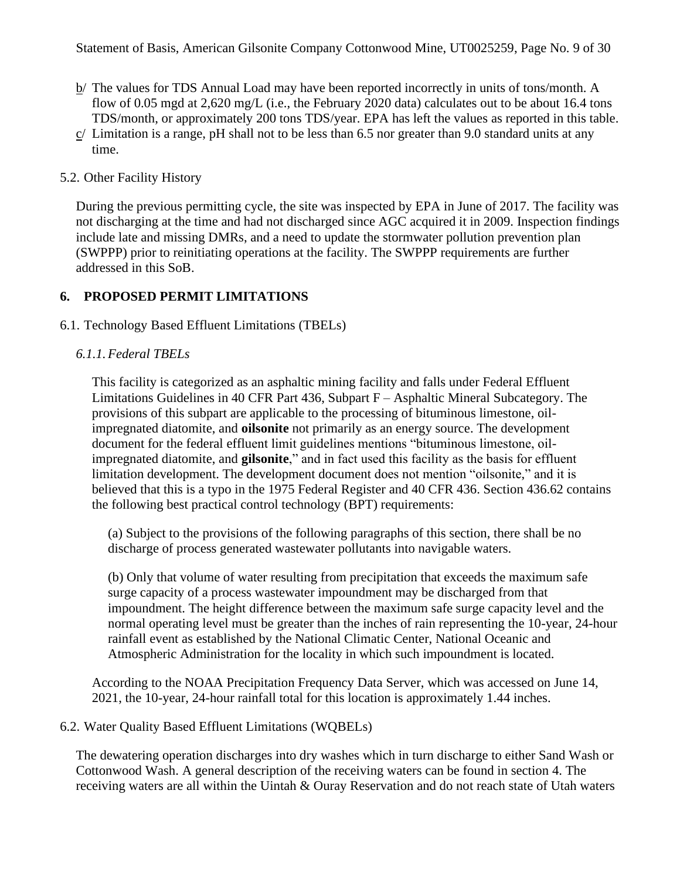- b/ The values for TDS Annual Load may have been reported incorrectly in units of tons/month. A flow of 0.05 mgd at 2,620 mg/L (i.e., the February 2020 data) calculates out to be about 16.4 tons TDS/month, or approximately 200 tons TDS/year. EPA has left the values as reported in this table.
- c/ Limitation is a range, pH shall not to be less than 6.5 nor greater than 9.0 standard units at any time.

### 5.2. Other Facility History

During the previous permitting cycle, the site was inspected by EPA in June of 2017. The facility was not discharging at the time and had not discharged since AGC acquired it in 2009. Inspection findings include late and missing DMRs, and a need to update the stormwater pollution prevention plan (SWPPP) prior to reinitiating operations at the facility. The SWPPP requirements are further addressed in this SoB.

### **6. PROPOSED PERMIT LIMITATIONS**

#### 6.1. Technology Based Effluent Limitations (TBELs)

### *6.1.1.Federal TBELs*

This facility is categorized as an asphaltic mining facility and falls under Federal Effluent Limitations Guidelines in 40 CFR Part 436, Subpart F – Asphaltic Mineral Subcategory. The provisions of this subpart are applicable to the processing of bituminous limestone, oilimpregnated diatomite, and **oilsonite** not primarily as an energy source. The development document for the federal effluent limit guidelines mentions "bituminous limestone, oilimpregnated diatomite, and **gilsonite**," and in fact used this facility as the basis for effluent limitation development. The development document does not mention "oilsonite," and it is believed that this is a typo in the 1975 Federal Register and 40 CFR 436. Section 436.62 contains the following best practical control technology (BPT) requirements:

(a) Subject to the provisions of the following paragraphs of this section, there shall be no discharge of process generated wastewater pollutants into navigable waters.

(b) Only that volume of water resulting from precipitation that exceeds the maximum safe surge capacity of a process wastewater impoundment may be discharged from that impoundment. The height difference between the maximum safe surge capacity level and the normal operating level must be greater than the inches of rain representing the 10-year, 24-hour rainfall event as established by the National Climatic Center, National Oceanic and Atmospheric Administration for the locality in which such impoundment is located.

According to the NOAA Precipitation Frequency Data Server, which was accessed on June 14, 2021, the 10-year, 24-hour rainfall total for this location is approximately 1.44 inches.

#### 6.2. Water Quality Based Effluent Limitations (WQBELs)

The dewatering operation discharges into dry washes which in turn discharge to either Sand Wash or Cottonwood Wash. A general description of the receiving waters can be found in section [4.](#page-6-0) The receiving waters are all within the Uintah & Ouray Reservation and do not reach state of Utah waters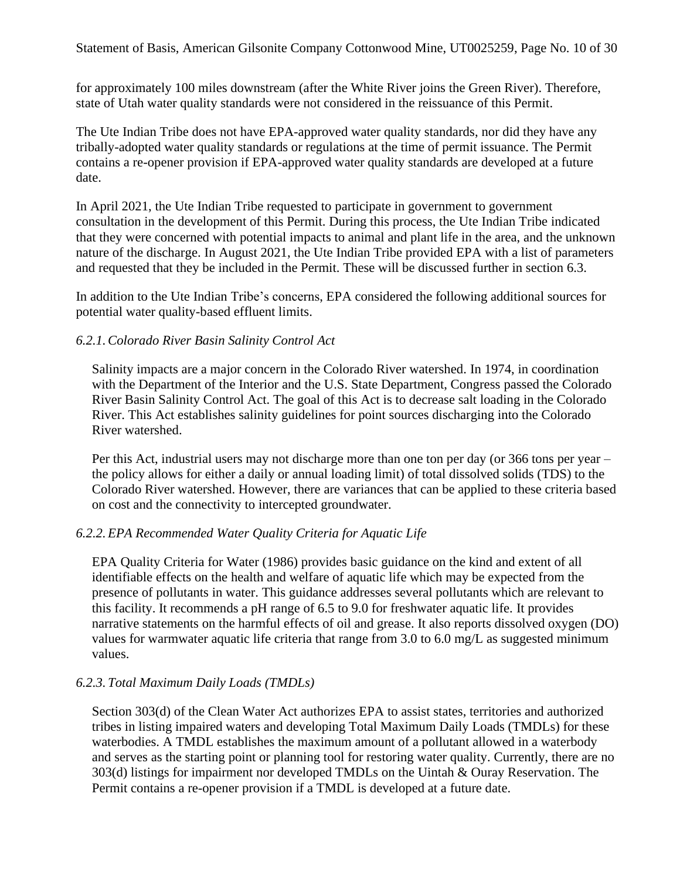for approximately 100 miles downstream (after the White River joins the Green River). Therefore, state of Utah water quality standards were not considered in the reissuance of this Permit.

The Ute Indian Tribe does not have EPA-approved water quality standards, nor did they have any tribally-adopted water quality standards or regulations at the time of permit issuance. The Permit contains a re-opener provision if EPA-approved water quality standards are developed at a future date.

In April 2021, the Ute Indian Tribe requested to participate in government to government consultation in the development of this Permit. During this process, the Ute Indian Tribe indicated that they were concerned with potential impacts to animal and plant life in the area, and the unknown nature of the discharge. In August 2021, the Ute Indian Tribe provided EPA with a list of parameters and requested that they be included in the Permit. These will be discussed further in section [6.3.](#page-10-0)

In addition to the Ute Indian Tribe's concerns, EPA considered the following additional sources for potential water quality-based effluent limits.

### *6.2.1.Colorado River Basin Salinity Control Act*

Salinity impacts are a major concern in the Colorado River watershed. In 1974, in coordination with the Department of the Interior and the U.S. State Department, Congress passed the Colorado River Basin Salinity Control Act. The goal of this Act is to decrease salt loading in the Colorado River. This Act establishes salinity guidelines for point sources discharging into the Colorado River watershed.

Per this Act, industrial users may not discharge more than one ton per day (or 366 tons per year – the policy allows for either a daily or annual loading limit) of total dissolved solids (TDS) to the Colorado River watershed. However, there are variances that can be applied to these criteria based on cost and the connectivity to intercepted groundwater.

### *6.2.2.EPA Recommended Water Quality Criteria for Aquatic Life*

EPA Quality Criteria for Water (1986) provides basic guidance on the kind and extent of all identifiable effects on the health and welfare of aquatic life which may be expected from the presence of pollutants in water. This guidance addresses several pollutants which are relevant to this facility. It recommends a pH range of 6.5 to 9.0 for freshwater aquatic life. It provides narrative statements on the harmful effects of oil and grease. It also reports dissolved oxygen (DO) values for warmwater aquatic life criteria that range from 3.0 to 6.0 mg/L as suggested minimum values.

### *6.2.3. Total Maximum Daily Loads (TMDLs)*

Section 303(d) of the Clean Water Act authorizes EPA to assist states, territories and authorized tribes in listing impaired waters and developing Total Maximum Daily Loads (TMDLs) for these waterbodies. A TMDL establishes the maximum amount of a pollutant allowed in a waterbody and serves as the starting point or planning tool for restoring water quality. Currently, there are no 303(d) listings for impairment nor developed TMDLs on the Uintah & Ouray Reservation. The Permit contains a re-opener provision if a TMDL is developed at a future date.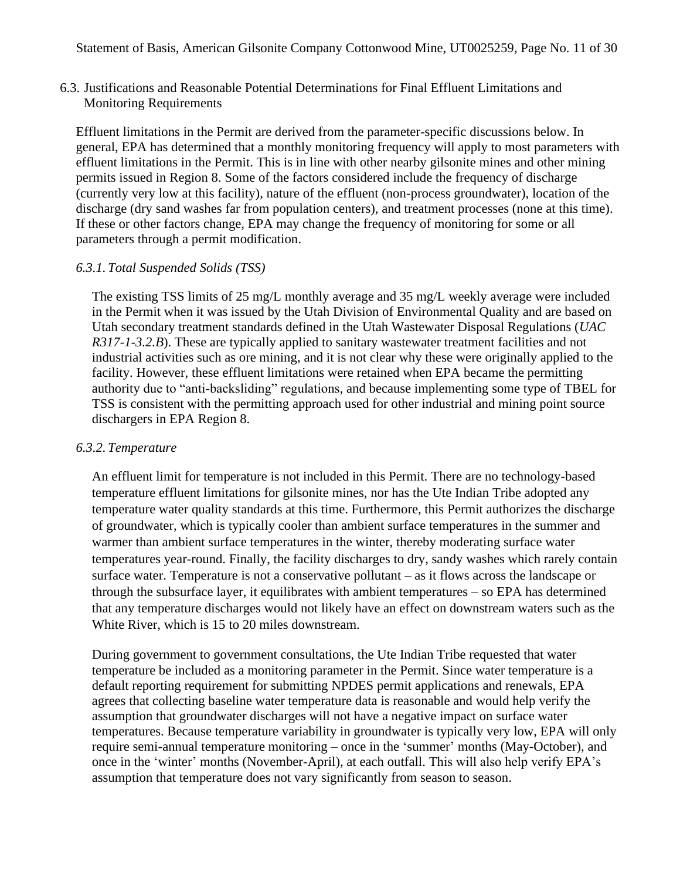<span id="page-10-0"></span>6.3. Justifications and Reasonable Potential Determinations for Final Effluent Limitations and Monitoring Requirements

Effluent limitations in the Permit are derived from the parameter-specific discussions below. In general, EPA has determined that a monthly monitoring frequency will apply to most parameters with effluent limitations in the Permit. This is in line with other nearby gilsonite mines and other mining permits issued in Region 8. Some of the factors considered include the frequency of discharge (currently very low at this facility), nature of the effluent (non-process groundwater), location of the discharge (dry sand washes far from population centers), and treatment processes (none at this time). If these or other factors change, EPA may change the frequency of monitoring for some or all parameters through a permit modification.

#### *6.3.1. Total Suspended Solids (TSS)*

The existing TSS limits of 25 mg/L monthly average and 35 mg/L weekly average were included in the Permit when it was issued by the Utah Division of Environmental Quality and are based on Utah secondary treatment standards defined in the Utah Wastewater Disposal Regulations (*UAC R317-1-3.2.B*). These are typically applied to sanitary wastewater treatment facilities and not industrial activities such as ore mining, and it is not clear why these were originally applied to the facility. However, these effluent limitations were retained when EPA became the permitting authority due to "anti-backsliding" regulations, and because implementing some type of TBEL for TSS is consistent with the permitting approach used for other industrial and mining point source dischargers in EPA Region 8.

#### *6.3.2. Temperature*

An effluent limit for temperature is not included in this Permit. There are no technology-based temperature effluent limitations for gilsonite mines, nor has the Ute Indian Tribe adopted any temperature water quality standards at this time. Furthermore, this Permit authorizes the discharge of groundwater, which is typically cooler than ambient surface temperatures in the summer and warmer than ambient surface temperatures in the winter, thereby moderating surface water temperatures year-round. Finally, the facility discharges to dry, sandy washes which rarely contain surface water. Temperature is not a conservative pollutant – as it flows across the landscape or through the subsurface layer, it equilibrates with ambient temperatures – so EPA has determined that any temperature discharges would not likely have an effect on downstream waters such as the White River, which is 15 to 20 miles downstream.

During government to government consultations, the Ute Indian Tribe requested that water temperature be included as a monitoring parameter in the Permit. Since water temperature is a default reporting requirement for submitting NPDES permit applications and renewals, EPA agrees that collecting baseline water temperature data is reasonable and would help verify the assumption that groundwater discharges will not have a negative impact on surface water temperatures. Because temperature variability in groundwater is typically very low, EPA will only require semi-annual temperature monitoring – once in the 'summer' months (May-October), and once in the 'winter' months (November-April), at each outfall. This will also help verify EPA's assumption that temperature does not vary significantly from season to season.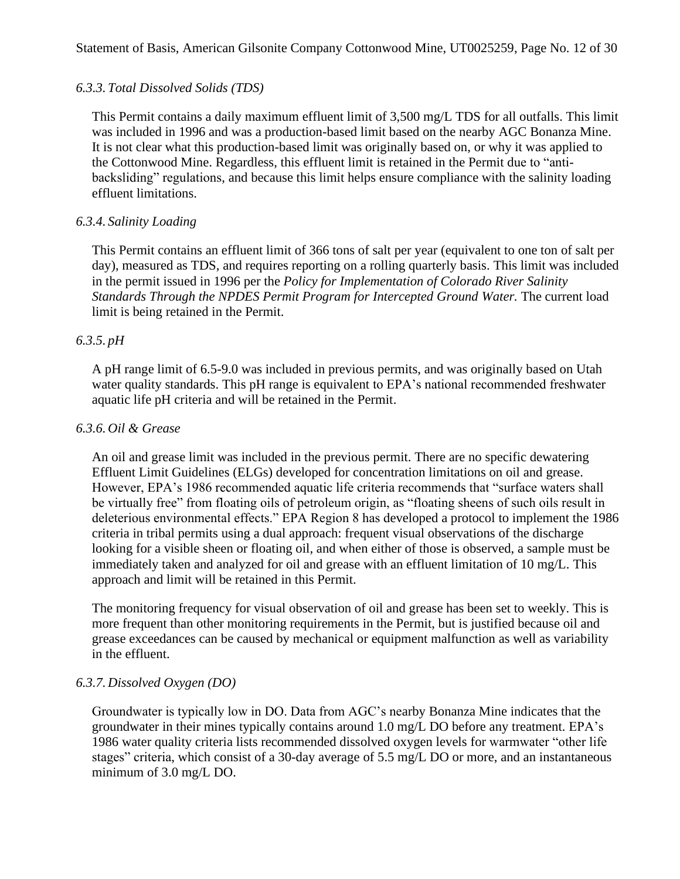### *6.3.3. Total Dissolved Solids (TDS)*

This Permit contains a daily maximum effluent limit of 3,500 mg/L TDS for all outfalls. This limit was included in 1996 and was a production-based limit based on the nearby AGC Bonanza Mine. It is not clear what this production-based limit was originally based on, or why it was applied to the Cottonwood Mine. Regardless, this effluent limit is retained in the Permit due to "antibacksliding" regulations, and because this limit helps ensure compliance with the salinity loading effluent limitations.

### *6.3.4. Salinity Loading*

This Permit contains an effluent limit of 366 tons of salt per year (equivalent to one ton of salt per day), measured as TDS, and requires reporting on a rolling quarterly basis. This limit was included in the permit issued in 1996 per the *Policy for Implementation of Colorado River Salinity*  Standards Through the NPDES Permit Program for Intercepted Ground Water. The current load limit is being retained in the Permit.

### *6.3.5. pH*

A pH range limit of 6.5-9.0 was included in previous permits, and was originally based on Utah water quality standards. This pH range is equivalent to EPA's national recommended freshwater aquatic life pH criteria and will be retained in the Permit.

### *6.3.6. Oil & Grease*

An oil and grease limit was included in the previous permit. There are no specific dewatering Effluent Limit Guidelines (ELGs) developed for concentration limitations on oil and grease. However, EPA's 1986 recommended aquatic life criteria recommends that "surface waters shall be virtually free" from floating oils of petroleum origin, as "floating sheens of such oils result in deleterious environmental effects." EPA Region 8 has developed a protocol to implement the 1986 criteria in tribal permits using a dual approach: frequent visual observations of the discharge looking for a visible sheen or floating oil, and when either of those is observed, a sample must be immediately taken and analyzed for oil and grease with an effluent limitation of 10 mg/L. This approach and limit will be retained in this Permit.

The monitoring frequency for visual observation of oil and grease has been set to weekly. This is more frequent than other monitoring requirements in the Permit, but is justified because oil and grease exceedances can be caused by mechanical or equipment malfunction as well as variability in the effluent.

#### *6.3.7. Dissolved Oxygen (DO)*

Groundwater is typically low in DO. Data from AGC's nearby Bonanza Mine indicates that the groundwater in their mines typically contains around 1.0 mg/L DO before any treatment. EPA's 1986 water quality criteria lists recommended dissolved oxygen levels for warmwater "other life stages" criteria, which consist of a 30-day average of 5.5 mg/L DO or more, and an instantaneous minimum of 3.0 mg/L DO.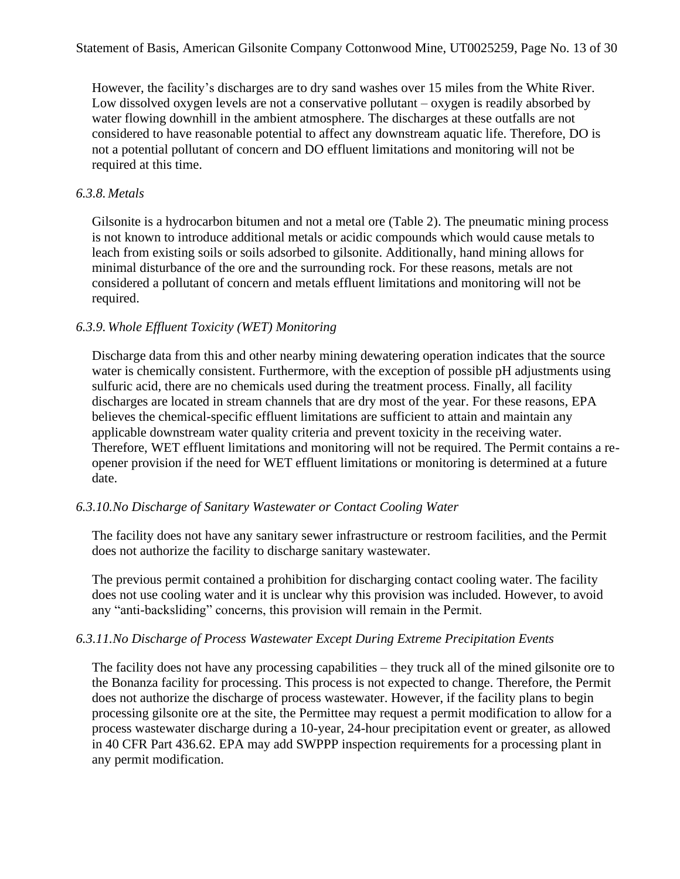However, the facility's discharges are to dry sand washes over 15 miles from the White River. Low dissolved oxygen levels are not a conservative pollutant – oxygen is readily absorbed by water flowing downhill in the ambient atmosphere. The discharges at these outfalls are not considered to have reasonable potential to affect any downstream aquatic life. Therefore, DO is not a potential pollutant of concern and DO effluent limitations and monitoring will not be required at this time.

### *6.3.8. Metals*

Gilsonite is a hydrocarbon bitumen and not a metal ore (Table 2). The pneumatic mining process is not known to introduce additional metals or acidic compounds which would cause metals to leach from existing soils or soils adsorbed to gilsonite. Additionally, hand mining allows for minimal disturbance of the ore and the surrounding rock. For these reasons, metals are not considered a pollutant of concern and metals effluent limitations and monitoring will not be required.

### *6.3.9. Whole Effluent Toxicity (WET) Monitoring*

Discharge data from this and other nearby mining dewatering operation indicates that the source water is chemically consistent. Furthermore, with the exception of possible pH adjustments using sulfuric acid, there are no chemicals used during the treatment process. Finally, all facility discharges are located in stream channels that are dry most of the year. For these reasons, EPA believes the chemical-specific effluent limitations are sufficient to attain and maintain any applicable downstream water quality criteria and prevent toxicity in the receiving water. Therefore, WET effluent limitations and monitoring will not be required. The Permit contains a reopener provision if the need for WET effluent limitations or monitoring is determined at a future date.

#### *6.3.10.No Discharge of Sanitary Wastewater or Contact Cooling Water*

The facility does not have any sanitary sewer infrastructure or restroom facilities, and the Permit does not authorize the facility to discharge sanitary wastewater.

The previous permit contained a prohibition for discharging contact cooling water. The facility does not use cooling water and it is unclear why this provision was included. However, to avoid any "anti-backsliding" concerns, this provision will remain in the Permit.

### *6.3.11.No Discharge of Process Wastewater Except During Extreme Precipitation Events*

The facility does not have any processing capabilities – they truck all of the mined gilsonite ore to the Bonanza facility for processing. This process is not expected to change. Therefore, the Permit does not authorize the discharge of process wastewater. However, if the facility plans to begin processing gilsonite ore at the site, the Permittee may request a permit modification to allow for a process wastewater discharge during a 10-year, 24-hour precipitation event or greater, as allowed in 40 CFR Part 436.62. EPA may add SWPPP inspection requirements for a processing plant in any permit modification.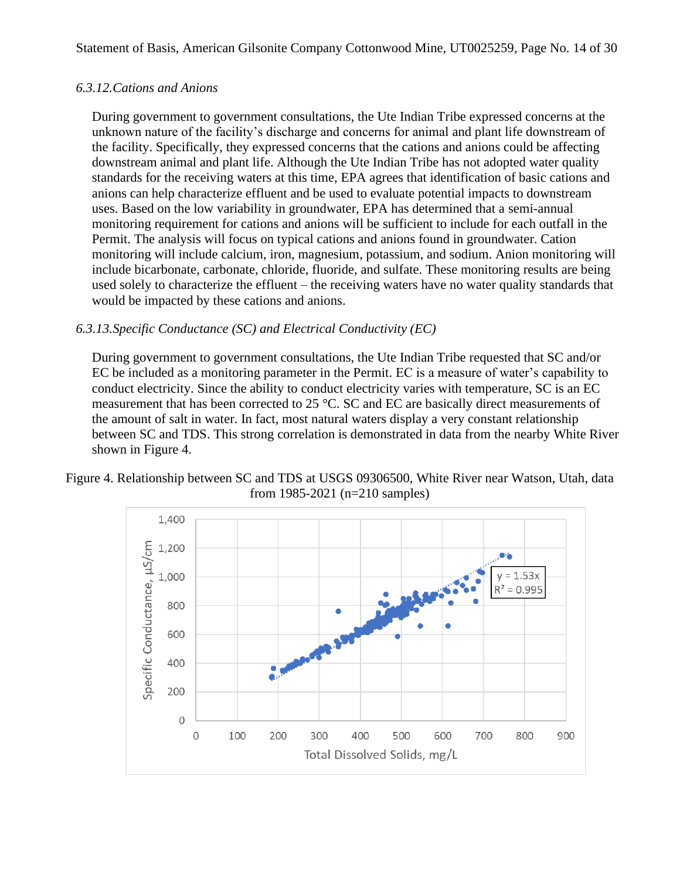### <span id="page-13-0"></span>*6.3.12.Cations and Anions*

During government to government consultations, the Ute Indian Tribe expressed concerns at the unknown nature of the facility's discharge and concerns for animal and plant life downstream of the facility. Specifically, they expressed concerns that the cations and anions could be affecting downstream animal and plant life. Although the Ute Indian Tribe has not adopted water quality standards for the receiving waters at this time, EPA agrees that identification of basic cations and anions can help characterize effluent and be used to evaluate potential impacts to downstream uses. Based on the low variability in groundwater, EPA has determined that a semi-annual monitoring requirement for cations and anions will be sufficient to include for each outfall in the Permit. The analysis will focus on typical cations and anions found in groundwater. Cation monitoring will include calcium, iron, magnesium, potassium, and sodium. Anion monitoring will include bicarbonate, carbonate, chloride, fluoride, and sulfate. These monitoring results are being used solely to characterize the effluent – the receiving waters have no water quality standards that would be impacted by these cations and anions.

### *6.3.13.Specific Conductance (SC) and Electrical Conductivity (EC)*

During government to government consultations, the Ute Indian Tribe requested that SC and/or EC be included as a monitoring parameter in the Permit. EC is a measure of water's capability to conduct electricity. Since the ability to conduct electricity varies with temperature, SC is an EC measurement that has been corrected to 25 °C. SC and EC are basically direct measurements of the amount of salt in water. In fact, most natural waters display a very constant relationship between SC and TDS. This strong correlation is demonstrated in data from the nearby White River shown in Figure 4.

#### Figure 4. Relationship between SC and TDS at USGS 09306500, White River near Watson, Utah, data from 1985-2021 (n=210 samples)

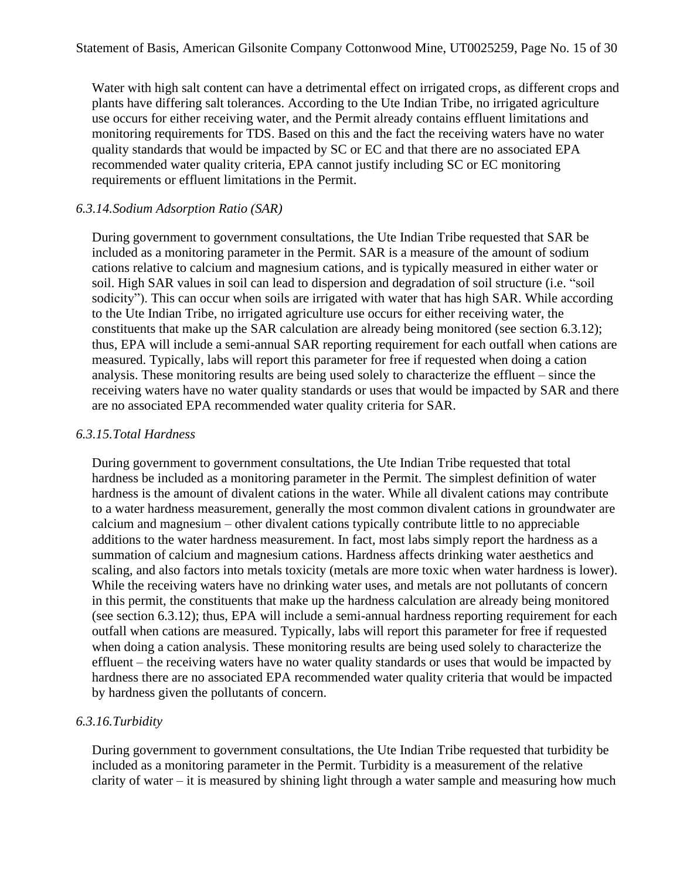Water with high salt content can have a detrimental effect on irrigated crops, as different crops and plants have differing salt tolerances. According to the Ute Indian Tribe, no irrigated agriculture use occurs for either receiving water, and the Permit already contains effluent limitations and monitoring requirements for TDS. Based on this and the fact the receiving waters have no water quality standards that would be impacted by SC or EC and that there are no associated EPA recommended water quality criteria, EPA cannot justify including SC or EC monitoring requirements or effluent limitations in the Permit.

#### *6.3.14.Sodium Adsorption Ratio (SAR)*

During government to government consultations, the Ute Indian Tribe requested that SAR be included as a monitoring parameter in the Permit. SAR is a measure of the amount of sodium cations relative to calcium and magnesium cations, and is typically measured in either water or soil. High SAR values in soil can lead to dispersion and degradation of soil structure (i.e. "soil sodicity"). This can occur when soils are irrigated with water that has high SAR. While according to the Ute Indian Tribe, no irrigated agriculture use occurs for either receiving water, the constituents that make up the SAR calculation are already being monitored (see section [6.3.12\)](#page-13-0); thus, EPA will include a semi-annual SAR reporting requirement for each outfall when cations are measured. Typically, labs will report this parameter for free if requested when doing a cation analysis. These monitoring results are being used solely to characterize the effluent – since the receiving waters have no water quality standards or uses that would be impacted by SAR and there are no associated EPA recommended water quality criteria for SAR.

#### *6.3.15.Total Hardness*

During government to government consultations, the Ute Indian Tribe requested that total hardness be included as a monitoring parameter in the Permit. The simplest definition of water hardness is the amount of divalent cations in the water. While all divalent cations may contribute to a water hardness measurement, generally the most common divalent cations in groundwater are calcium and magnesium – other divalent cations typically contribute little to no appreciable additions to the water hardness measurement. In fact, most labs simply report the hardness as a summation of calcium and magnesium cations. Hardness affects drinking water aesthetics and scaling, and also factors into metals toxicity (metals are more toxic when water hardness is lower). While the receiving waters have no drinking water uses, and metals are not pollutants of concern in this permit, the constituents that make up the hardness calculation are already being monitored (see section [6.3.12\)](#page-13-0); thus, EPA will include a semi-annual hardness reporting requirement for each outfall when cations are measured. Typically, labs will report this parameter for free if requested when doing a cation analysis. These monitoring results are being used solely to characterize the effluent – the receiving waters have no water quality standards or uses that would be impacted by hardness there are no associated EPA recommended water quality criteria that would be impacted by hardness given the pollutants of concern.

#### *6.3.16.Turbidity*

During government to government consultations, the Ute Indian Tribe requested that turbidity be included as a monitoring parameter in the Permit. Turbidity is a measurement of the relative clarity of water – it is measured by shining light through a water sample and measuring how much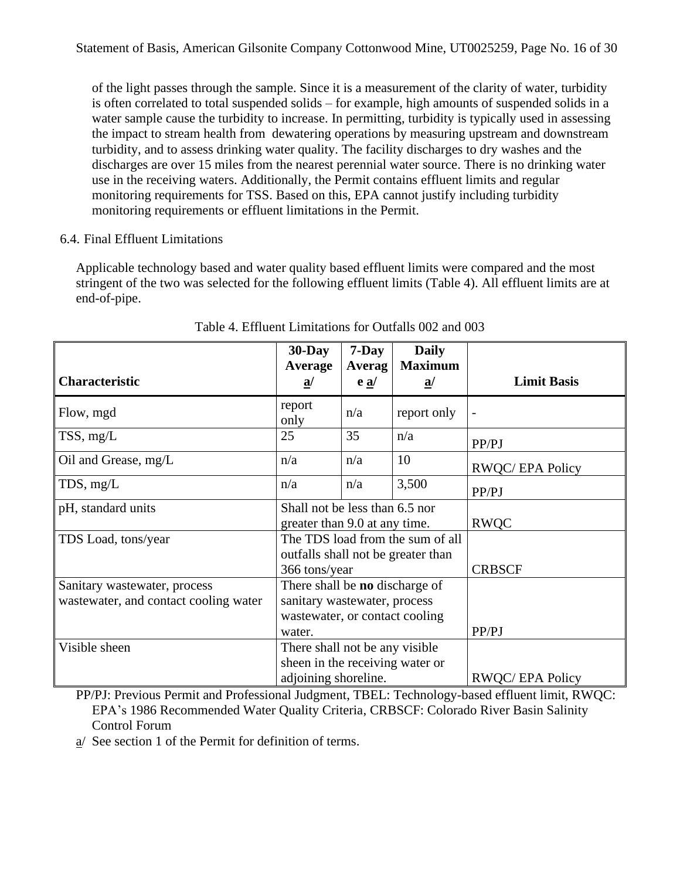of the light passes through the sample. Since it is a measurement of the clarity of water, turbidity is often correlated to total suspended solids – for example, high amounts of suspended solids in a water sample cause the turbidity to increase. In permitting, turbidity is typically used in assessing the impact to stream health from dewatering operations by measuring upstream and downstream turbidity, and to assess drinking water quality. The facility discharges to dry washes and the discharges are over 15 miles from the nearest perennial water source. There is no drinking water use in the receiving waters. Additionally, the Permit contains effluent limits and regular monitoring requirements for TSS. Based on this, EPA cannot justify including turbidity monitoring requirements or effluent limitations in the Permit.

## 6.4. Final Effluent Limitations

Applicable technology based and water quality based effluent limits were compared and the most stringent of the two was selected for the following effluent limits (Table 4). All effluent limits are at end-of-pipe.

|                                                                       | $30$ -Day                                                                                                                          | $7$ -Day                    | <b>Daily</b><br><b>Maximum</b> |                        |
|-----------------------------------------------------------------------|------------------------------------------------------------------------------------------------------------------------------------|-----------------------------|--------------------------------|------------------------|
| <b>Characteristic</b>                                                 | Average<br>$\underline{\mathbf{a}}$                                                                                                | Averag<br>$e \underline{a}$ | $\underline{\mathbf{a}}$       | <b>Limit Basis</b>     |
| Flow, mgd                                                             | report<br>only                                                                                                                     | n/a                         | report only                    |                        |
| $TSS$ , mg/L                                                          | 25                                                                                                                                 | 35                          | n/a                            | PP/PJ                  |
| Oil and Grease, mg/L                                                  | n/a                                                                                                                                | n/a                         | 10                             | <b>RWQC/EPA Policy</b> |
| TDS, mg/L                                                             | n/a                                                                                                                                | n/a                         | 3,500                          | PP/PJ                  |
| pH, standard units                                                    | Shall not be less than 6.5 nor<br>greater than 9.0 at any time.                                                                    |                             |                                | <b>RWQC</b>            |
| TDS Load, tons/year                                                   | The TDS load from the sum of all<br>outfalls shall not be greater than                                                             |                             |                                | <b>CRBSCF</b>          |
| Sanitary wastewater, process<br>wastewater, and contact cooling water | 366 tons/year<br>There shall be <b>no</b> discharge of<br>sanitary wastewater, process<br>wastewater, or contact cooling<br>water. |                             |                                | PP/PJ                  |
| Visible sheen                                                         | There shall not be any visible<br>sheen in the receiving water or<br>adjoining shoreline.                                          |                             |                                | <b>RWOC/EPA Policy</b> |

### Table 4. Effluent Limitations for Outfalls 002 and 003

PP/PJ: Previous Permit and Professional Judgment, TBEL: Technology-based effluent limit, RWQC: EPA's 1986 Recommended Water Quality Criteria, CRBSCF: Colorado River Basin Salinity Control Forum

a/ See section 1 of the Permit for definition of terms.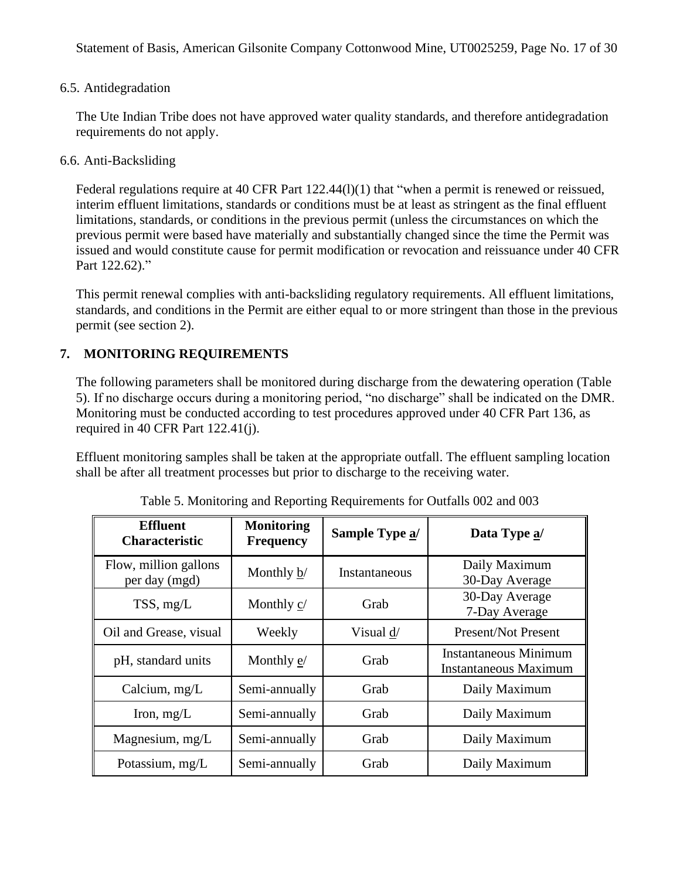### 6.5. Antidegradation

The Ute Indian Tribe does not have approved water quality standards, and therefore antidegradation requirements do not apply.

#### 6.6. Anti-Backsliding

Federal regulations require at 40 CFR Part 122.44(1)(1) that "when a permit is renewed or reissued, interim effluent limitations, standards or conditions must be at least as stringent as the final effluent limitations, standards, or conditions in the previous permit (unless the circumstances on which the previous permit were based have materially and substantially changed since the time the Permit was issued and would constitute cause for permit modification or revocation and reissuance under 40 CFR Part 122.62)."

This permit renewal complies with anti-backsliding regulatory requirements. All effluent limitations, standards, and conditions in the Permit are either equal to or more stringent than those in the previous permit (see section [2\)](#page-2-0).

### **7. MONITORING REQUIREMENTS**

The following parameters shall be monitored during discharge from the dewatering operation (Table 5). If no discharge occurs during a monitoring period, "no discharge" shall be indicated on the DMR. Monitoring must be conducted according to test procedures approved under 40 CFR Part 136, as required in 40 CFR Part 122.41(j).

Effluent monitoring samples shall be taken at the appropriate outfall. The effluent sampling location shall be after all treatment processes but prior to discharge to the receiving water.

| <b>Effluent</b><br><b>Characteristic</b> | <b>Monitoring</b><br><b>Frequency</b> | Sample Type a/ | Data Type a/                                                 |
|------------------------------------------|---------------------------------------|----------------|--------------------------------------------------------------|
| Flow, million gallons<br>per day (mgd)   | Monthly b/                            | Instantaneous  | Daily Maximum<br>30-Day Average                              |
| TSS, mg/L                                | Monthly c/                            | Grab           | 30-Day Average<br>7-Day Average                              |
| Oil and Grease, visual                   | Weekly                                | Visual d/      | <b>Present/Not Present</b>                                   |
| pH, standard units                       | Monthly e/                            | Grab           | <b>Instantaneous Minimum</b><br><b>Instantaneous Maximum</b> |
| Calcium, $mg/L$                          | Semi-annually                         | Grab           | Daily Maximum                                                |
| Iron, $mg/L$                             | Semi-annually                         | Grab           | Daily Maximum                                                |
| Magnesium, mg/L                          | Semi-annually                         | Grab           | Daily Maximum                                                |
| Potassium, mg/L                          | Semi-annually                         | Grab           | Daily Maximum                                                |

Table 5. Monitoring and Reporting Requirements for Outfalls 002 and 003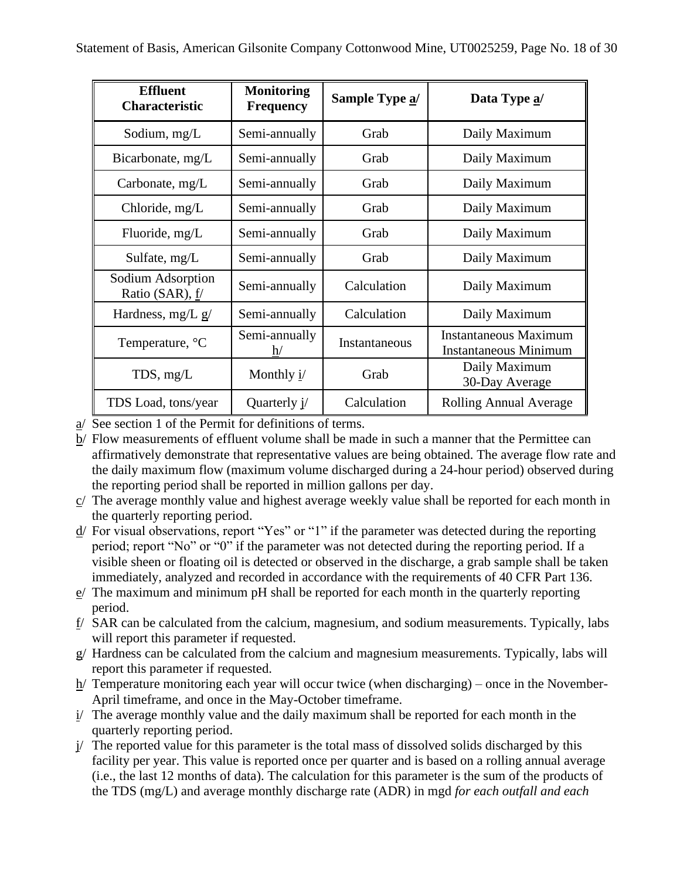| <b>Effluent</b><br><b>Characteristic</b> | <b>Monitoring</b><br><b>Frequency</b> | Sample Type a/ | Data Type a/                                                 |
|------------------------------------------|---------------------------------------|----------------|--------------------------------------------------------------|
| Sodium, mg/L                             | Semi-annually                         | Grab           | Daily Maximum                                                |
| Bicarbonate, mg/L                        | Semi-annually                         | Grab           | Daily Maximum                                                |
| Carbonate, $mg/L$                        | Semi-annually                         | Grab           | Daily Maximum                                                |
| Chloride, mg/L                           | Semi-annually                         | Grab           | Daily Maximum                                                |
| Fluoride, mg/L                           | Semi-annually                         | Grab           | Daily Maximum                                                |
| Sulfate, mg/L                            | Semi-annually                         | Grab           | Daily Maximum                                                |
| Sodium Adsorption<br>Ratio (SAR), $f/$   | Semi-annually                         | Calculation    | Daily Maximum                                                |
| Hardness, mg/L g/                        | Semi-annually                         | Calculation    | Daily Maximum                                                |
| Temperature, °C                          | Semi-annually<br>$\hbar/$             | Instantaneous  | <b>Instantaneous Maximum</b><br><b>Instantaneous Minimum</b> |
| $TDS$ , mg/L                             | Monthly $\frac{i}{2}$                 | Grab           | Daily Maximum<br>30-Day Average                              |
| TDS Load, tons/year                      | Quarterly $i/$                        | Calculation    | <b>Rolling Annual Average</b>                                |

- a/ See section 1 of the Permit for definitions of terms.
- b/ Flow measurements of effluent volume shall be made in such a manner that the Permittee can affirmatively demonstrate that representative values are being obtained. The average flow rate and the daily maximum flow (maximum volume discharged during a 24-hour period) observed during the reporting period shall be reported in million gallons per day.
- c/ The average monthly value and highest average weekly value shall be reported for each month in the quarterly reporting period.
- d/ For visual observations, report "Yes" or "1" if the parameter was detected during the reporting period; report "No" or "0" if the parameter was not detected during the reporting period. If a visible sheen or floating oil is detected or observed in the discharge, a grab sample shall be taken immediately, analyzed and recorded in accordance with the requirements of 40 CFR Part 136.
- $e$  The maximum and minimum pH shall be reported for each month in the quarterly reporting period.
- f/ SAR can be calculated from the calcium, magnesium, and sodium measurements. Typically, labs will report this parameter if requested.
- g/ Hardness can be calculated from the calcium and magnesium measurements. Typically, labs will report this parameter if requested.
- h/ Temperature monitoring each year will occur twice (when discharging) once in the November-April timeframe, and once in the May-October timeframe.
- i/ The average monthly value and the daily maximum shall be reported for each month in the quarterly reporting period.
- j/ The reported value for this parameter is the total mass of dissolved solids discharged by this facility per year. This value is reported once per quarter and is based on a rolling annual average (i.e., the last 12 months of data). The calculation for this parameter is the sum of the products of the TDS (mg/L) and average monthly discharge rate (ADR) in mgd *for each outfall and each*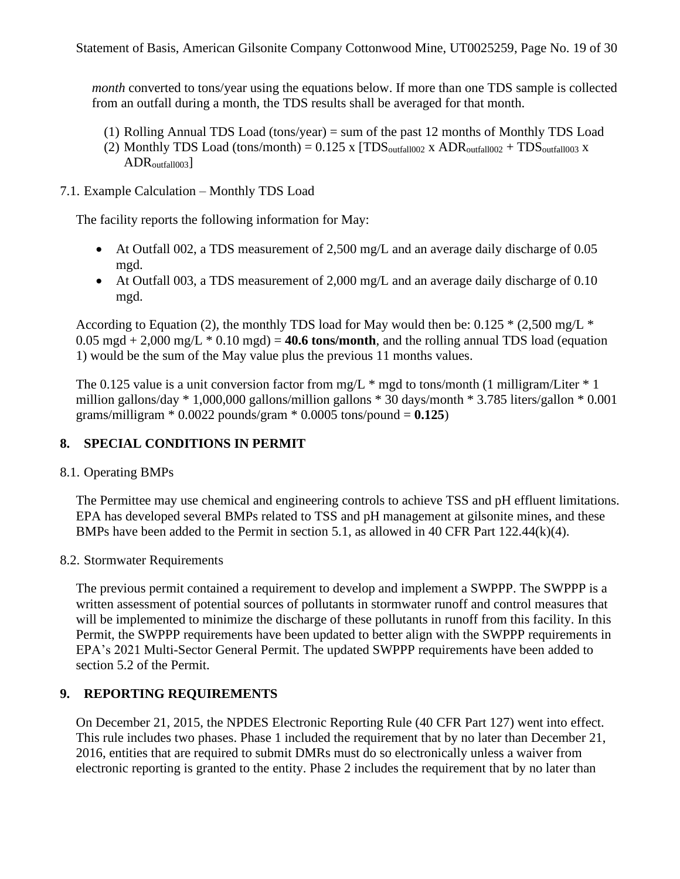*month* converted to tons/year using the equations below. If more than one TDS sample is collected from an outfall during a month, the TDS results shall be averaged for that month.

- (1) Rolling Annual TDS Load (tons/year) = sum of the past 12 months of Monthly TDS Load
- (2) Monthly TDS Load (tons/month) =  $0.125$  x  $[TDS<sub>outfall002</sub> x ADR<sub>outfall002</sub> + TDS<sub>outfall003</sub> x$  $ADR<sub>outfall003</sub>$
- 7.1. Example Calculation Monthly TDS Load

The facility reports the following information for May:

- At Outfall 002, a TDS measurement of 2,500 mg/L and an average daily discharge of 0.05 mgd.
- At Outfall 003, a TDS measurement of 2,000 mg/L and an average daily discharge of 0.10 mgd.

According to Equation (2), the monthly TDS load for May would then be:  $0.125 * (2.500 \text{ mg/L}^*)$  $0.05 \text{ mgd} + 2,000 \text{ mg/L} * 0.10 \text{ mgd} = 40.6 \text{ tons/month}$ , and the rolling annual TDS load (equation 1) would be the sum of the May value plus the previous 11 months values.

The 0.125 value is a unit conversion factor from mg/L  $*$  mgd to tons/month (1 milligram/Liter  $*$  1 million gallons/day \* 1,000,000 gallons/million gallons \* 30 days/month \* 3.785 liters/gallon \* 0.001 grams/milligram  $*$  0.0022 pounds/gram  $*$  0.0005 tons/pound =  $0.125$ )

## **8. SPECIAL CONDITIONS IN PERMIT**

### 8.1. Operating BMPs

The Permittee may use chemical and engineering controls to achieve TSS and pH effluent limitations. EPA has developed several BMPs related to TSS and pH management at gilsonite mines, and these BMPs have been added to the Permit in section 5.1, as allowed in 40 CFR Part 122.44(k)(4).

#### 8.2. Stormwater Requirements

The previous permit contained a requirement to develop and implement a SWPPP. The SWPPP is a written assessment of potential sources of pollutants in stormwater runoff and control measures that will be implemented to minimize the discharge of these pollutants in runoff from this facility. In this Permit, the SWPPP requirements have been updated to better align with the SWPPP requirements in EPA's 2021 Multi-Sector General Permit. The updated SWPPP requirements have been added to section 5.2 of the Permit.

### **9. REPORTING REQUIREMENTS**

On December 21, 2015, the NPDES Electronic Reporting Rule (40 CFR Part 127) went into effect. This rule includes two phases. Phase 1 included the requirement that by no later than December 21, 2016, entities that are required to submit DMRs must do so electronically unless a waiver from electronic reporting is granted to the entity. Phase 2 includes the requirement that by no later than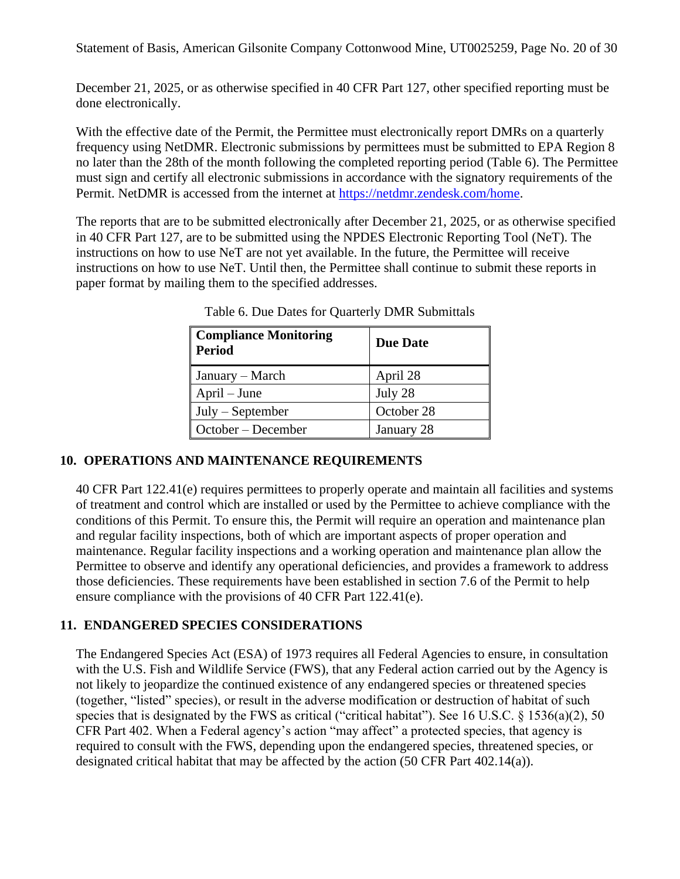Statement of Basis, American Gilsonite Company Cottonwood Mine, UT0025259, Page No. 20 of 30

December 21, 2025, or as otherwise specified in 40 CFR Part 127, other specified reporting must be done electronically.

With the effective date of the Permit, the Permittee must electronically report DMRs on a quarterly frequency using NetDMR. Electronic submissions by permittees must be submitted to EPA Region 8 no later than the 28th of the month following the completed reporting period (Table 6). The Permittee must sign and certify all electronic submissions in accordance with the signatory requirements of the Permit. NetDMR is accessed from the internet at [https://netdmr.zendesk.com/home.](https://netdmr.zendesk.com/home)

The reports that are to be submitted electronically after December 21, 2025, or as otherwise specified in 40 CFR Part 127, are to be submitted using the NPDES Electronic Reporting Tool (NeT). The instructions on how to use NeT are not yet available. In the future, the Permittee will receive instructions on how to use NeT. Until then, the Permittee shall continue to submit these reports in paper format by mailing them to the specified addresses.

| <b>Compliance Monitoring</b><br>Period | <b>Due Date</b> |
|----------------------------------------|-----------------|
| January – March                        | April 28        |
| $April - June$                         | July 28         |
| $July - September$                     | October 28      |
| October – December                     | January 28      |

Table 6. Due Dates for Quarterly DMR Submittals

## **10. OPERATIONS AND MAINTENANCE REQUIREMENTS**

40 CFR Part 122.41(e) requires permittees to properly operate and maintain all facilities and systems of treatment and control which are installed or used by the Permittee to achieve compliance with the conditions of this Permit. To ensure this, the Permit will require an operation and maintenance plan and regular facility inspections, both of which are important aspects of proper operation and maintenance. Regular facility inspections and a working operation and maintenance plan allow the Permittee to observe and identify any operational deficiencies, and provides a framework to address those deficiencies. These requirements have been established in section 7.6 of the Permit to help ensure compliance with the provisions of 40 CFR Part 122.41(e).

## **11. ENDANGERED SPECIES CONSIDERATIONS**

The Endangered Species Act (ESA) of 1973 requires all Federal Agencies to ensure, in consultation with the U.S. Fish and Wildlife Service (FWS), that any Federal action carried out by the Agency is not likely to jeopardize the continued existence of any endangered species or threatened species (together, "listed" species), or result in the adverse modification or destruction of habitat of such species that is designated by the FWS as critical ("critical habitat"). See 16 U.S.C. § 1536(a)(2), 50 CFR Part 402. When a Federal agency's action "may affect" a protected species, that agency is required to consult with the FWS, depending upon the endangered species, threatened species, or designated critical habitat that may be affected by the action (50 CFR Part 402.14(a)).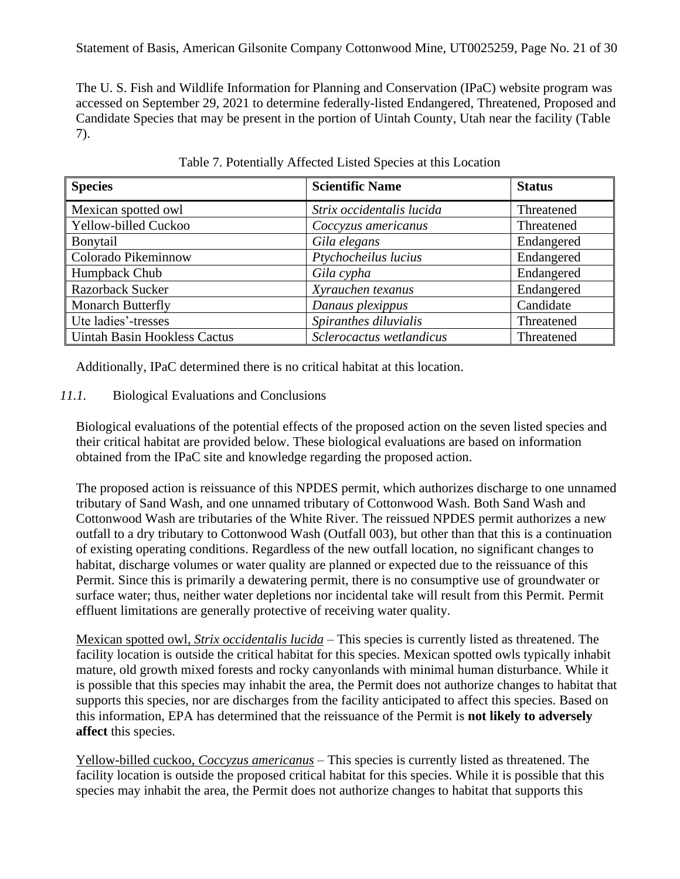The U. S. Fish and Wildlife Information for Planning and Conservation (IPaC) website program was accessed on September 29, 2021 to determine federally-listed Endangered, Threatened, Proposed and Candidate Species that may be present in the portion of Uintah County, Utah near the facility (Table 7).

| <b>Species</b>                      | <b>Scientific Name</b>    | <b>Status</b> |
|-------------------------------------|---------------------------|---------------|
| Mexican spotted owl                 | Strix occidentalis lucida | Threatened    |
| Yellow-billed Cuckoo                | Coccyzus americanus       | Threatened    |
| Bonytail                            | Gila elegans              | Endangered    |
| Colorado Pikeminnow                 | Ptychocheilus lucius      | Endangered    |
| Humpback Chub                       | Gila cypha                | Endangered    |
| Razorback Sucker                    | Xyrauchen texanus         | Endangered    |
| <b>Monarch Butterfly</b>            | Danaus plexippus          | Candidate     |
| Ute ladies'-tresses                 | Spiranthes diluvialis     | Threatened    |
| <b>Uintah Basin Hookless Cactus</b> | Sclerocactus wetlandicus  | Threatened    |

Table 7. Potentially Affected Listed Species at this Location

Additionally, IPaC determined there is no critical habitat at this location.

### *11.1.* Biological Evaluations and Conclusions

Biological evaluations of the potential effects of the proposed action on the seven listed species and their critical habitat are provided below. These biological evaluations are based on information obtained from the IPaC site and knowledge regarding the proposed action.

The proposed action is reissuance of this NPDES permit, which authorizes discharge to one unnamed tributary of Sand Wash, and one unnamed tributary of Cottonwood Wash. Both Sand Wash and Cottonwood Wash are tributaries of the White River. The reissued NPDES permit authorizes a new outfall to a dry tributary to Cottonwood Wash (Outfall 003), but other than that this is a continuation of existing operating conditions. Regardless of the new outfall location, no significant changes to habitat, discharge volumes or water quality are planned or expected due to the reissuance of this Permit. Since this is primarily a dewatering permit, there is no consumptive use of groundwater or surface water; thus, neither water depletions nor incidental take will result from this Permit. Permit effluent limitations are generally protective of receiving water quality.

Mexican spotted owl, *Strix occidentalis lucida* – This species is currently listed as threatened. The facility location is outside the critical habitat for this species. Mexican spotted owls typically inhabit mature, old growth mixed forests and rocky canyonlands with minimal human disturbance. While it is possible that this species may inhabit the area, the Permit does not authorize changes to habitat that supports this species, nor are discharges from the facility anticipated to affect this species. Based on this information, EPA has determined that the reissuance of the Permit is **not likely to adversely affect** this species.

Yellow-billed cuckoo, *Coccyzus americanus* – This species is currently listed as threatened. The facility location is outside the proposed critical habitat for this species. While it is possible that this species may inhabit the area, the Permit does not authorize changes to habitat that supports this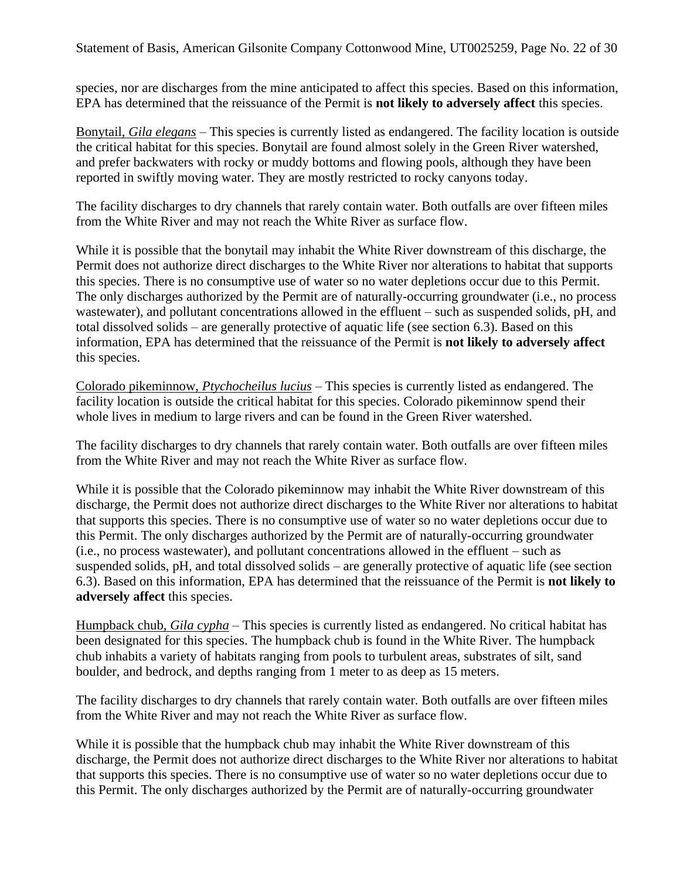Statement of Basis, American Gilsonite Company Cottonwood Mine, UT0025259, Page No. 22 of 30

species, nor are discharges from the mine anticipated to affect this species. Based on this information, EPA has determined that the reissuance of the Permit is **not likely to adversely affect** this species.

Bonytail, *Gila elegans* – This species is currently listed as endangered. The facility location is outside the critical habitat for this species. Bonytail are found almost solely in the Green River watershed, and prefer backwaters with rocky or muddy bottoms and flowing pools, although they have been reported in swiftly moving water. They are mostly restricted to rocky canyons today.

The facility discharges to dry channels that rarely contain water. Both outfalls are over fifteen miles from the White River and may not reach the White River as surface flow.

While it is possible that the bonytail may inhabit the White River downstream of this discharge, the Permit does not authorize direct discharges to the White River nor alterations to habitat that supports this species. There is no consumptive use of water so no water depletions occur due to this Permit. The only discharges authorized by the Permit are of naturally-occurring groundwater (i.e., no process wastewater), and pollutant concentrations allowed in the effluent – such as suspended solids, pH, and total dissolved solids – are generally protective of aquatic life (see section [6.3\)](#page-10-0). Based on this information, EPA has determined that the reissuance of the Permit is **not likely to adversely affect** this species.

Colorado pikeminnow, *Ptychocheilus lucius* – This species is currently listed as endangered. The facility location is outside the critical habitat for this species. Colorado pikeminnow spend their whole lives in medium to large rivers and can be found in the Green River watershed.

The facility discharges to dry channels that rarely contain water. Both outfalls are over fifteen miles from the White River and may not reach the White River as surface flow.

While it is possible that the Colorado pikeminnow may inhabit the White River downstream of this discharge, the Permit does not authorize direct discharges to the White River nor alterations to habitat that supports this species. There is no consumptive use of water so no water depletions occur due to this Permit. The only discharges authorized by the Permit are of naturally-occurring groundwater (i.e., no process wastewater), and pollutant concentrations allowed in the effluent – such as suspended solids, pH, and total dissolved solids – are generally protective of aquatic life (see section [6.3\)](#page-10-0). Based on this information, EPA has determined that the reissuance of the Permit is **not likely to adversely affect** this species.

Humpback chub, *Gila cypha* – This species is currently listed as endangered. No critical habitat has been designated for this species. The humpback chub is found in the White River. The humpback chub inhabits a variety of habitats ranging from pools to turbulent areas, substrates of silt, sand boulder, and bedrock, and depths ranging from 1 meter to as deep as 15 meters.

The facility discharges to dry channels that rarely contain water. Both outfalls are over fifteen miles from the White River and may not reach the White River as surface flow.

While it is possible that the humpback chub may inhabit the White River downstream of this discharge, the Permit does not authorize direct discharges to the White River nor alterations to habitat that supports this species. There is no consumptive use of water so no water depletions occur due to this Permit. The only discharges authorized by the Permit are of naturally-occurring groundwater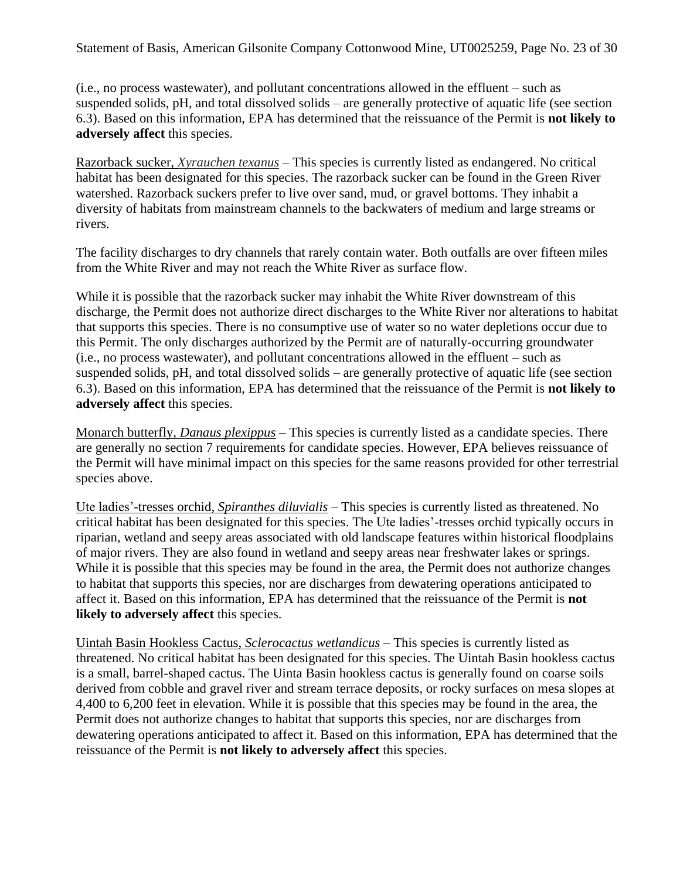Statement of Basis, American Gilsonite Company Cottonwood Mine, UT0025259, Page No. 23 of 30

(i.e., no process wastewater), and pollutant concentrations allowed in the effluent – such as suspended solids, pH, and total dissolved solids – are generally protective of aquatic life (see section [6.3\)](#page-10-0). Based on this information, EPA has determined that the reissuance of the Permit is **not likely to adversely affect** this species.

Razorback sucker, *Xyrauchen texanus* – This species is currently listed as endangered. No critical habitat has been designated for this species. The razorback sucker can be found in the Green River watershed. Razorback suckers prefer to live over sand, mud, or gravel bottoms. They inhabit a diversity of habitats from mainstream channels to the backwaters of medium and large streams or rivers.

The facility discharges to dry channels that rarely contain water. Both outfalls are over fifteen miles from the White River and may not reach the White River as surface flow.

While it is possible that the razorback sucker may inhabit the White River downstream of this discharge, the Permit does not authorize direct discharges to the White River nor alterations to habitat that supports this species. There is no consumptive use of water so no water depletions occur due to this Permit. The only discharges authorized by the Permit are of naturally-occurring groundwater (i.e., no process wastewater), and pollutant concentrations allowed in the effluent – such as suspended solids, pH, and total dissolved solids – are generally protective of aquatic life (see section [6.3\)](#page-10-0). Based on this information, EPA has determined that the reissuance of the Permit is **not likely to adversely affect** this species.

Monarch butterfly, *Danaus plexippus* – This species is currently listed as a candidate species. There are generally no section 7 requirements for candidate species. However, EPA believes reissuance of the Permit will have minimal impact on this species for the same reasons provided for other terrestrial species above.

Ute ladies'-tresses orchid, *Spiranthes diluvialis* – This species is currently listed as threatened. No critical habitat has been designated for this species. The Ute ladies'-tresses orchid typically occurs in riparian, wetland and seepy areas associated with old landscape features within historical floodplains of major rivers. They are also found in wetland and seepy areas near freshwater lakes or springs. While it is possible that this species may be found in the area, the Permit does not authorize changes to habitat that supports this species, nor are discharges from dewatering operations anticipated to affect it. Based on this information, EPA has determined that the reissuance of the Permit is **not likely to adversely affect** this species.

Uintah Basin Hookless Cactus, *Sclerocactus wetlandicus* – This species is currently listed as threatened. No critical habitat has been designated for this species. The Uintah Basin hookless cactus is a small, barrel-shaped cactus. The Uinta Basin hookless cactus is generally found on coarse soils derived from cobble and gravel river and stream terrace deposits, or rocky surfaces on mesa slopes at 4,400 to 6,200 feet in elevation. While it is possible that this species may be found in the area, the Permit does not authorize changes to habitat that supports this species, nor are discharges from dewatering operations anticipated to affect it. Based on this information, EPA has determined that the reissuance of the Permit is **not likely to adversely affect** this species.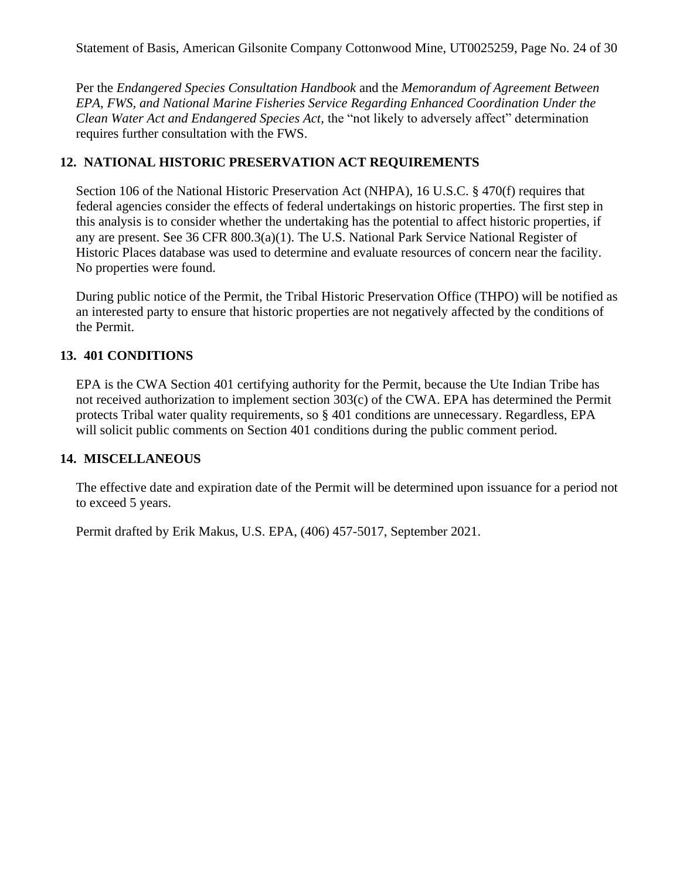Per the *Endangered Species Consultation Handbook* and the *Memorandum of Agreement Between EPA, FWS, and National Marine Fisheries Service Regarding Enhanced Coordination Under the Clean Water Act and Endangered Species Act*, the "not likely to adversely affect" determination requires further consultation with the FWS.

## **12. NATIONAL HISTORIC PRESERVATION ACT REQUIREMENTS**

Section 106 of the National Historic Preservation Act (NHPA), 16 U.S.C. § 470(f) requires that federal agencies consider the effects of federal undertakings on historic properties. The first step in this analysis is to consider whether the undertaking has the potential to affect historic properties, if any are present. See 36 CFR 800.3(a)(1). The U.S. National Park Service National Register of Historic Places database was used to determine and evaluate resources of concern near the facility. No properties were found.

During public notice of the Permit, the Tribal Historic Preservation Office (THPO) will be notified as an interested party to ensure that historic properties are not negatively affected by the conditions of the Permit.

### **13. 401 CONDITIONS**

EPA is the CWA Section 401 certifying authority for the Permit, because the Ute Indian Tribe has not received authorization to implement section 303(c) of the CWA. EPA has determined the Permit protects Tribal water quality requirements, so § 401 conditions are unnecessary. Regardless, EPA will solicit public comments on Section 401 conditions during the public comment period.

### **14. MISCELLANEOUS**

The effective date and expiration date of the Permit will be determined upon issuance for a period not to exceed 5 years.

Permit drafted by Erik Makus, U.S. EPA, (406) 457-5017, September 2021.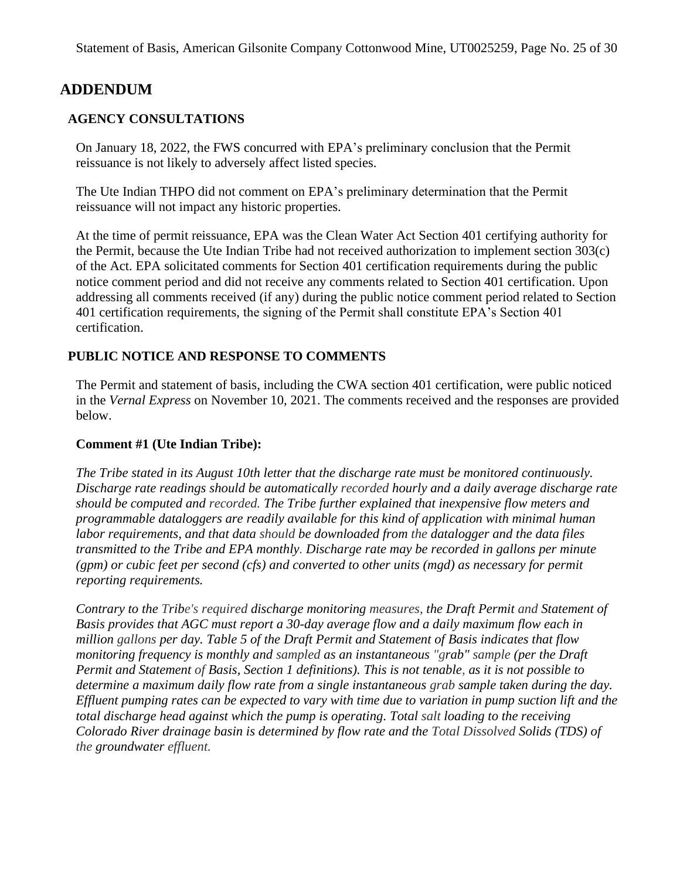# **ADDENDUM**

## **AGENCY CONSULTATIONS**

On January 18, 2022, the FWS concurred with EPA's preliminary conclusion that the Permit reissuance is not likely to adversely affect listed species.

The Ute Indian THPO did not comment on EPA's preliminary determination that the Permit reissuance will not impact any historic properties.

At the time of permit reissuance, EPA was the Clean Water Act Section 401 certifying authority for the Permit, because the Ute Indian Tribe had not received authorization to implement section 303(c) of the Act. EPA solicitated comments for Section 401 certification requirements during the public notice comment period and did not receive any comments related to Section 401 certification. Upon addressing all comments received (if any) during the public notice comment period related to Section 401 certification requirements, the signing of the Permit shall constitute EPA's Section 401 certification.

### **PUBLIC NOTICE AND RESPONSE TO COMMENTS**

The Permit and statement of basis, including the CWA section 401 certification, were public noticed in the *Vernal Express* on November 10, 2021. The comments received and the responses are provided below.

#### **Comment #1 (Ute Indian Tribe):**

*The Tribe stated in its August 10th letter that the discharge rate must be monitored continuously. Discharge rate readings should be automatically recorded hourly and a daily average discharge rate should be computed and recorded. The Tribe further explained that inexpensive flow meters and programmable dataloggers are readily available for this kind of application with minimal human labor requirements, and that data should be downloaded from the datalogger and the data files transmitted to the Tribe and EPA monthly. Discharge rate may be recorded in gallons per minute (gpm) or cubic feet per second (cfs) and converted to other units (mgd) as necessary for permit reporting requirements.*

*Contrary to the Tribe's required discharge monitoring measures, the Draft Permit and Statement of Basis provides that AGC must report a 30-day average flow and a daily maximum flow each in million gallons per day. Table 5 of the Draft Permit and Statement of Basis indicates that flow monitoring frequency is monthly and sampled as an instantaneous "grab" sample (per the Draft Permit and Statement of Basis, Section 1 definitions). This is not tenable, as it is not possible to determine a maximum daily flow rate from a single instantaneous grab sample taken during the day. Effluent pumping rates can be expected to vary with time due to variation in pump suction lift and the total discharge head against which the pump is operating. Total salt loading to the receiving Colorado River drainage basin is determined by flow rate and the Total Dissolved Solids (TDS) of the groundwater effluent.*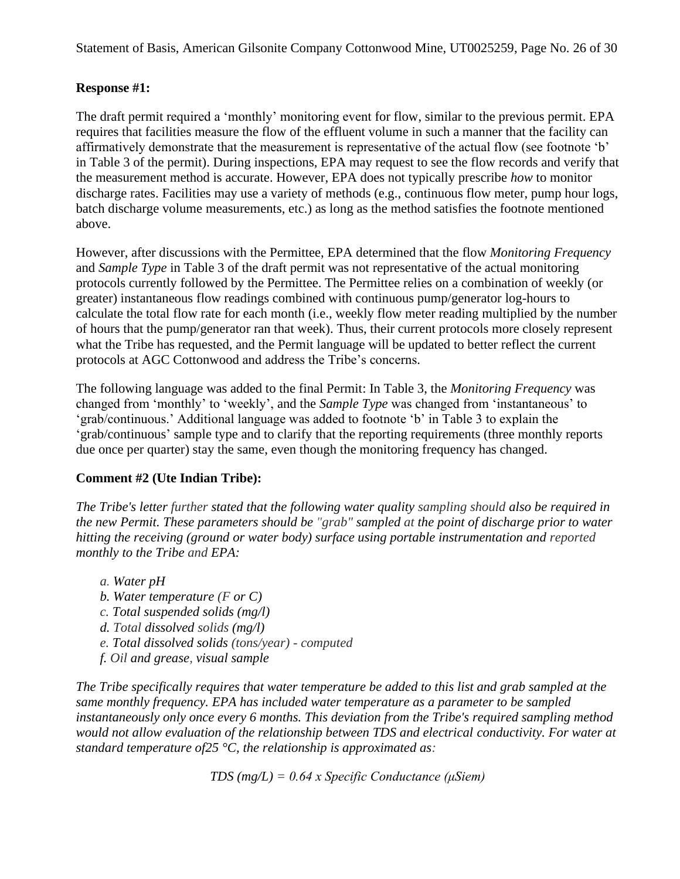### **Response #1:**

The draft permit required a 'monthly' monitoring event for flow, similar to the previous permit. EPA requires that facilities measure the flow of the effluent volume in such a manner that the facility can affirmatively demonstrate that the measurement is representative of the actual flow (see footnote 'b' in Table 3 of the permit). During inspections, EPA may request to see the flow records and verify that the measurement method is accurate. However, EPA does not typically prescribe *how* to monitor discharge rates. Facilities may use a variety of methods (e.g., continuous flow meter, pump hour logs, batch discharge volume measurements, etc.) as long as the method satisfies the footnote mentioned above.

However, after discussions with the Permittee, EPA determined that the flow *Monitoring Frequency* and *Sample Type* in Table 3 of the draft permit was not representative of the actual monitoring protocols currently followed by the Permittee. The Permittee relies on a combination of weekly (or greater) instantaneous flow readings combined with continuous pump/generator log-hours to calculate the total flow rate for each month (i.e., weekly flow meter reading multiplied by the number of hours that the pump/generator ran that week). Thus, their current protocols more closely represent what the Tribe has requested, and the Permit language will be updated to better reflect the current protocols at AGC Cottonwood and address the Tribe's concerns.

The following language was added to the final Permit: In Table 3, the *Monitoring Frequency* was changed from 'monthly' to 'weekly', and the *Sample Type* was changed from 'instantaneous' to 'grab/continuous.' Additional language was added to footnote 'b' in Table 3 to explain the 'grab/continuous' sample type and to clarify that the reporting requirements (three monthly reports due once per quarter) stay the same, even though the monitoring frequency has changed.

### **Comment #2 (Ute Indian Tribe):**

*The Tribe's letter further stated that the following water quality sampling should also be required in the new Permit. These parameters should be "grab" sampled at the point of discharge prior to water hitting the receiving (ground or water body) surface using portable instrumentation and reported monthly to the Tribe and EPA:*

- *a. Water pH*
- *b. Water temperature (F or C)*
- *c. Total suspended solids (mg/l)*
- *d. Total dissolved solids (mg/l)*
- *e. Total dissolved solids (tons/year) - computed*
- *f. Oil and grease, visual sample*

*The Tribe specifically requires that water temperature be added to this list and grab sampled at the same monthly frequency. EPA has included water temperature as a parameter to be sampled instantaneously only once every 6 months. This deviation from the Tribe's required sampling method would not allow evaluation of the relationship between TDS and electrical conductivity. For water at standard temperature of25 °C, the relationship is approximated as:*

*TDS (mg/L) = 0.64 x Specific Conductance (μSiem)*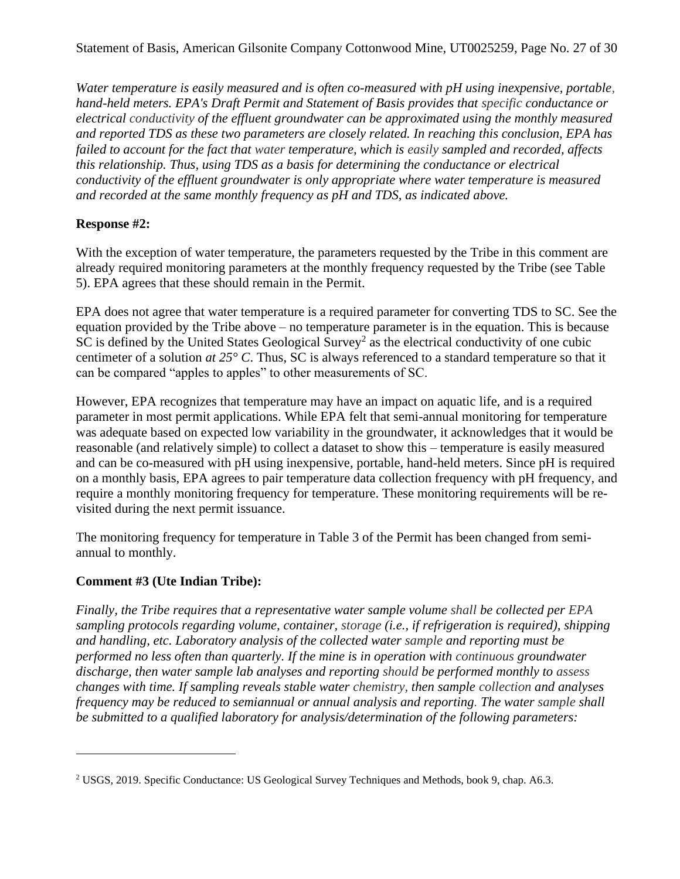*Water temperature is easily measured and is often co-measured with pH using inexpensive, portable, hand-held meters. EPA's Draft Permit and Statement of Basis provides that specific conductance or electrical conductivity of the effluent groundwater can be approximated using the monthly measured and reported TDS as these two parameters are closely related. In reaching this conclusion, EPA has failed to account for the fact that water temperature, which is easily sampled and recorded, affects this relationship. Thus, using TDS as a basis for determining the conductance or electrical conductivity of the effluent groundwater is only appropriate where water temperature is measured and recorded at the same monthly frequency as pH and TDS, as indicated above.*

### **Response #2:**

With the exception of water temperature, the parameters requested by the Tribe in this comment are already required monitoring parameters at the monthly frequency requested by the Tribe (see Table 5). EPA agrees that these should remain in the Permit.

EPA does not agree that water temperature is a required parameter for converting TDS to SC. See the equation provided by the Tribe above – no temperature parameter is in the equation. This is because  $SC$  is defined by the United States Geological Survey<sup>2</sup> as the electrical conductivity of one cubic centimeter of a solution *at 25° C*. Thus, SC is always referenced to a standard temperature so that it can be compared "apples to apples" to other measurements of SC.

However, EPA recognizes that temperature may have an impact on aquatic life, and is a required parameter in most permit applications. While EPA felt that semi-annual monitoring for temperature was adequate based on expected low variability in the groundwater, it acknowledges that it would be reasonable (and relatively simple) to collect a dataset to show this – temperature is easily measured and can be co-measured with pH using inexpensive, portable, hand-held meters. Since pH is required on a monthly basis, EPA agrees to pair temperature data collection frequency with pH frequency, and require a monthly monitoring frequency for temperature. These monitoring requirements will be revisited during the next permit issuance.

The monitoring frequency for temperature in Table 3 of the Permit has been changed from semiannual to monthly.

### **Comment #3 (Ute Indian Tribe):**

*Finally, the Tribe requires that a representative water sample volume shall be collected per EPA sampling protocols regarding volume, container, storage (i.e., if refrigeration is required), shipping and handling, etc. Laboratory analysis of the collected water sample and reporting must be performed no less often than quarterly. If the mine is in operation with continuous groundwater discharge, then water sample lab analyses and reporting should be performed monthly to assess changes with time. If sampling reveals stable water chemistry, then sample collection and analyses frequency may be reduced to semiannual or annual analysis and reporting. The water sample shall be submitted to a qualified laboratory for analysis/determination of the following parameters:*

<sup>2</sup> USGS, 2019. Specific Conductance: US Geological Survey Techniques and Methods, book 9, chap. A6.3.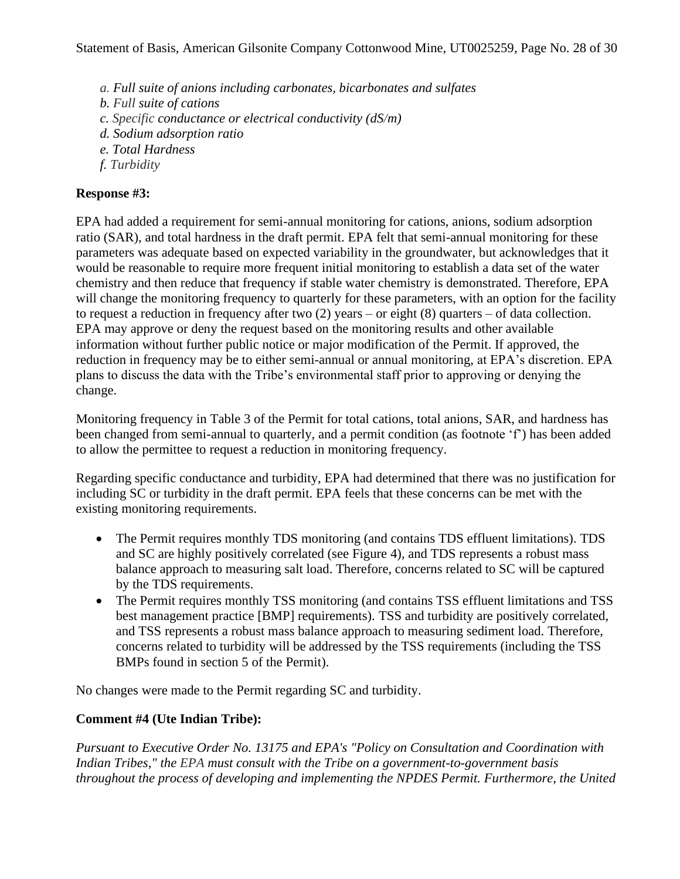- *a. Full suite of anions including carbonates, bicarbonates and sulfates*
- *b. Full suite of cations*
- *c. Specific conductance or electrical conductivity (dS/m)*
- *d. Sodium adsorption ratio*
- *e. Total Hardness*
- *f. Turbidity*

### **Response #3:**

EPA had added a requirement for semi-annual monitoring for cations, anions, sodium adsorption ratio (SAR), and total hardness in the draft permit. EPA felt that semi-annual monitoring for these parameters was adequate based on expected variability in the groundwater, but acknowledges that it would be reasonable to require more frequent initial monitoring to establish a data set of the water chemistry and then reduce that frequency if stable water chemistry is demonstrated. Therefore, EPA will change the monitoring frequency to quarterly for these parameters, with an option for the facility to request a reduction in frequency after two (2) years – or eight (8) quarters – of data collection. EPA may approve or deny the request based on the monitoring results and other available information without further public notice or major modification of the Permit. If approved, the reduction in frequency may be to either semi-annual or annual monitoring, at EPA's discretion. EPA plans to discuss the data with the Tribe's environmental staff prior to approving or denying the change.

Monitoring frequency in Table 3 of the Permit for total cations, total anions, SAR, and hardness has been changed from semi-annual to quarterly, and a permit condition (as footnote 'f') has been added to allow the permittee to request a reduction in monitoring frequency.

Regarding specific conductance and turbidity, EPA had determined that there was no justification for including SC or turbidity in the draft permit. EPA feels that these concerns can be met with the existing monitoring requirements.

- The Permit requires monthly TDS monitoring (and contains TDS effluent limitations). TDS and SC are highly positively correlated (see Figure 4), and TDS represents a robust mass balance approach to measuring salt load. Therefore, concerns related to SC will be captured by the TDS requirements.
- The Permit requires monthly TSS monitoring (and contains TSS effluent limitations and TSS best management practice [BMP] requirements). TSS and turbidity are positively correlated, and TSS represents a robust mass balance approach to measuring sediment load. Therefore, concerns related to turbidity will be addressed by the TSS requirements (including the TSS BMPs found in section 5 of the Permit).

No changes were made to the Permit regarding SC and turbidity.

### **Comment #4 (Ute Indian Tribe):**

*Pursuant to Executive Order No. 13175 and EPA's "Policy on Consultation and Coordination with Indian Tribes," the EPA must consult with the Tribe on a government-to-government basis throughout the process of developing and implementing the NPDES Permit. Furthermore, the United*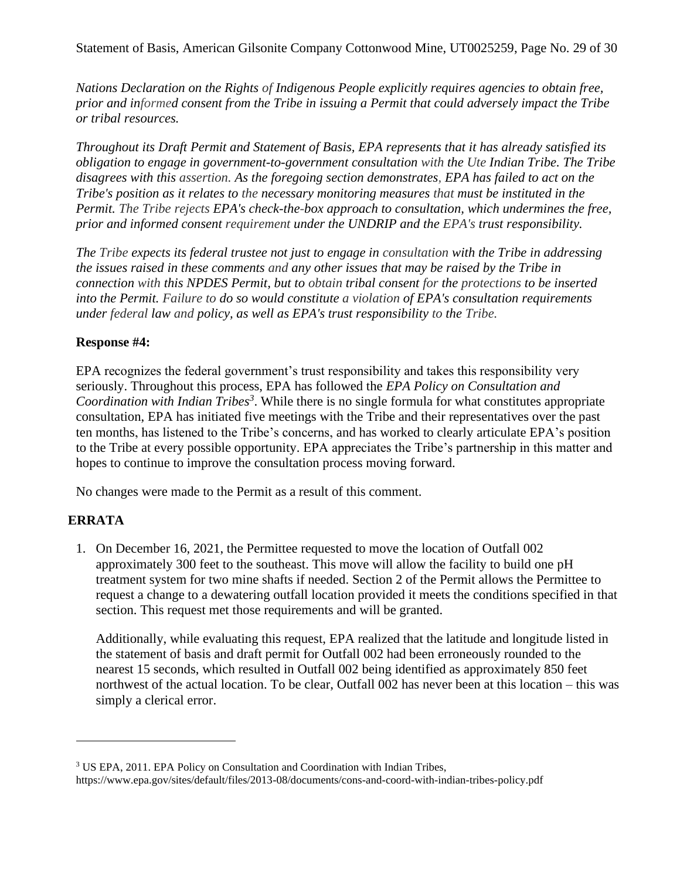Statement of Basis, American Gilsonite Company Cottonwood Mine, UT0025259, Page No. 29 of 30

*Nations Declaration on the Rights of Indigenous People explicitly requires agencies to obtain free, prior and informed consent from the Tribe in issuing a Permit that could adversely impact the Tribe or tribal resources.*

*Throughout its Draft Permit and Statement of Basis, EPA represents that it has already satisfied its obligation to engage in government-to-government consultation with the Ute Indian Tribe. The Tribe disagrees with this assertion. As the foregoing section demonstrates, EPA has failed to act on the Tribe's position as it relates to the necessary monitoring measures that must be instituted in the Permit. The Tribe rejects EPA's check-the-box approach to consultation, which undermines the free, prior and informed consent requirement under the UNDRIP and the EPA's trust responsibility.*

*The Tribe expects its federal trustee not just to engage in consultation with the Tribe in addressing the issues raised in these comments and any other issues that may be raised by the Tribe in connection with this NPDES Permit, but to obtain tribal consent for the protections to be inserted into the Permit. Failure to do so would constitute a violation of EPA's consultation requirements under federal law and policy, as well as EPA's trust responsibility to the Tribe.*

#### **Response #4:**

EPA recognizes the federal government's trust responsibility and takes this responsibility very seriously. Throughout this process, EPA has followed the *EPA Policy on Consultation and Coordination with Indian Tribes<sup>3</sup>* . While there is no single formula for what constitutes appropriate consultation, EPA has initiated five meetings with the Tribe and their representatives over the past ten months, has listened to the Tribe's concerns, and has worked to clearly articulate EPA's position to the Tribe at every possible opportunity. EPA appreciates the Tribe's partnership in this matter and hopes to continue to improve the consultation process moving forward.

No changes were made to the Permit as a result of this comment.

### **ERRATA**

1. On December 16, 2021, the Permittee requested to move the location of Outfall 002 approximately 300 feet to the southeast. This move will allow the facility to build one pH treatment system for two mine shafts if needed. Section 2 of the Permit allows the Permittee to request a change to a dewatering outfall location provided it meets the conditions specified in that section. This request met those requirements and will be granted.

Additionally, while evaluating this request, EPA realized that the latitude and longitude listed in the statement of basis and draft permit for Outfall 002 had been erroneously rounded to the nearest 15 seconds, which resulted in Outfall 002 being identified as approximately 850 feet northwest of the actual location. To be clear, Outfall 002 has never been at this location – this was simply a clerical error.

<sup>3</sup> US EPA, 2011. EPA Policy on Consultation and Coordination with Indian Tribes, https://www.epa.gov/sites/default/files/2013-08/documents/cons-and-coord-with-indian-tribes-policy.pdf